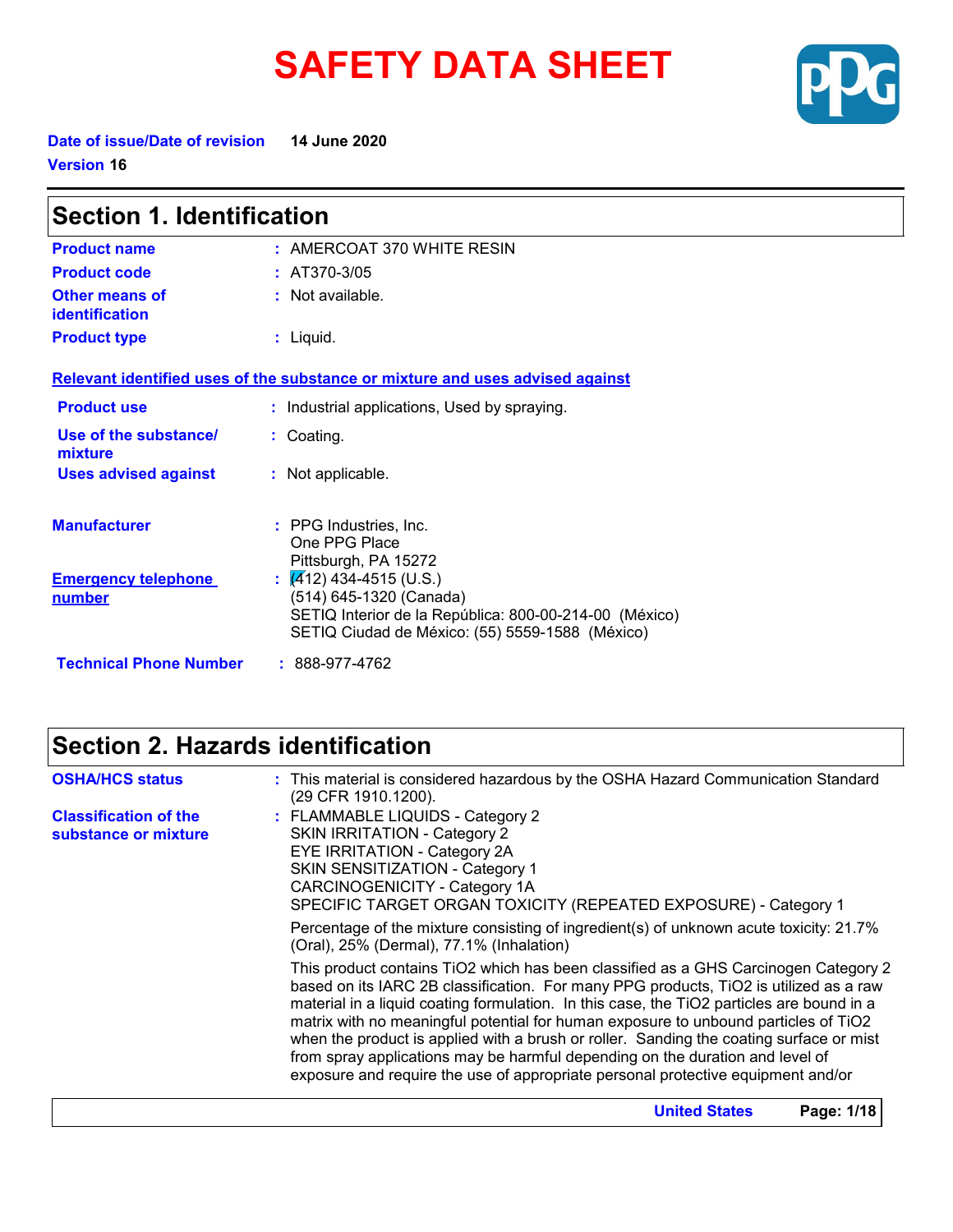# **SAFETY DATA SHEET**



**Date of issue/Date of revision 14 June 2020 Version 16**

| <b>Section 1. Identification</b>               |                                                                                                                                                                             |  |
|------------------------------------------------|-----------------------------------------------------------------------------------------------------------------------------------------------------------------------------|--|
| <b>Product name</b>                            | $:$ AMERCOAT 370 WHITE RESIN                                                                                                                                                |  |
| <b>Product code</b>                            | : $AT370-3/05$                                                                                                                                                              |  |
| <b>Other means of</b><br><b>identification</b> | : Not available.                                                                                                                                                            |  |
| <b>Product type</b>                            | $:$ Liquid.                                                                                                                                                                 |  |
|                                                | Relevant identified uses of the substance or mixture and uses advised against                                                                                               |  |
| <b>Product use</b>                             | : Industrial applications, Used by spraying.                                                                                                                                |  |
| Use of the substance/<br>mixture               | : Coating.                                                                                                                                                                  |  |
| <b>Uses advised against</b>                    | : Not applicable.                                                                                                                                                           |  |
| <b>Manufacturer</b>                            | : PPG Industries, Inc.<br>One PPG Place<br>Pittsburgh, PA 15272                                                                                                             |  |
| <b>Emergency telephone</b><br><u>number</u>    | $\frac{1}{2}$ (412) 434-4515 (U.S.)<br>(514) 645-1320 (Canada)<br>SETIQ Interior de la República: 800-00-214-00 (México)<br>SETIQ Ciudad de México: (55) 5559-1588 (México) |  |
| <b>Technical Phone Number</b>                  | $: 888-977-4762$                                                                                                                                                            |  |

### **Section 2. Hazards identification**

| <b>OSHA/HCS status</b>                               | : This material is considered hazardous by the OSHA Hazard Communication Standard<br>(29 CFR 1910.1200).                                                                                                                                                                                                                                                                                                                                                                                                                                                                                                                         |
|------------------------------------------------------|----------------------------------------------------------------------------------------------------------------------------------------------------------------------------------------------------------------------------------------------------------------------------------------------------------------------------------------------------------------------------------------------------------------------------------------------------------------------------------------------------------------------------------------------------------------------------------------------------------------------------------|
| <b>Classification of the</b><br>substance or mixture | : FLAMMABLE LIQUIDS - Category 2<br><b>SKIN IRRITATION - Category 2</b><br><b>EYE IRRITATION - Category 2A</b><br>SKIN SENSITIZATION - Category 1<br>CARCINOGENICITY - Category 1A<br>SPECIFIC TARGET ORGAN TOXICITY (REPEATED EXPOSURE) - Category 1                                                                                                                                                                                                                                                                                                                                                                            |
|                                                      | Percentage of the mixture consisting of ingredient(s) of unknown acute toxicity: 21.7%<br>(Oral), 25% (Dermal), 77.1% (Inhalation)                                                                                                                                                                                                                                                                                                                                                                                                                                                                                               |
|                                                      | This product contains TiO2 which has been classified as a GHS Carcinogen Category 2<br>based on its IARC 2B classification. For many PPG products, TiO2 is utilized as a raw<br>material in a liquid coating formulation. In this case, the TiO2 particles are bound in a<br>matrix with no meaningful potential for human exposure to unbound particles of TiO2<br>when the product is applied with a brush or roller. Sanding the coating surface or mist<br>from spray applications may be harmful depending on the duration and level of<br>exposure and require the use of appropriate personal protective equipment and/or |
|                                                      | <b>United States</b><br>Page: 1/18                                                                                                                                                                                                                                                                                                                                                                                                                                                                                                                                                                                               |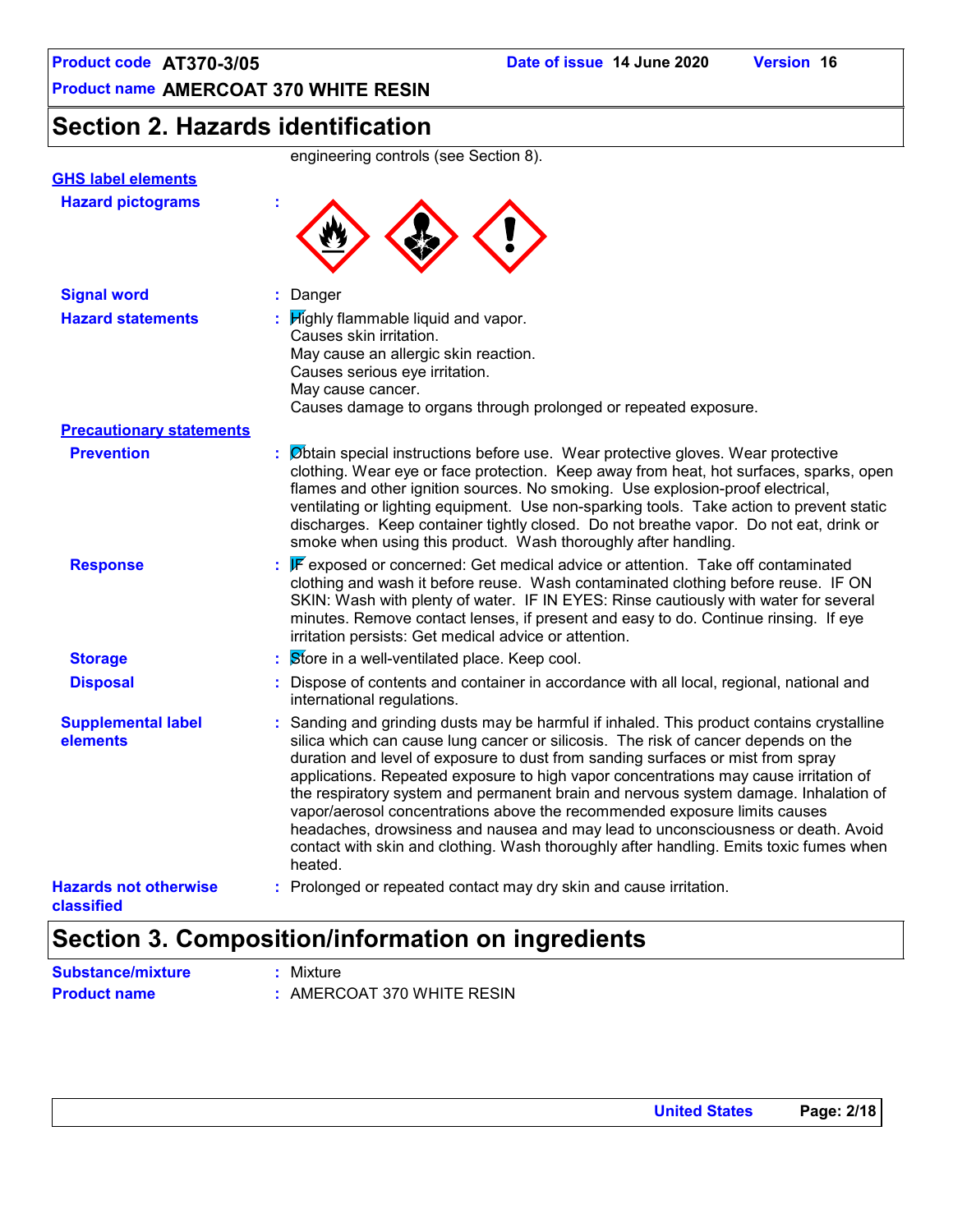### **Section 2. Hazards identification**

|                                            | engineering controls (see Section 8).                                                                                                                                                                                                                                                                                                                                                                                                                                                                                                                                                                                                                                                                                   |
|--------------------------------------------|-------------------------------------------------------------------------------------------------------------------------------------------------------------------------------------------------------------------------------------------------------------------------------------------------------------------------------------------------------------------------------------------------------------------------------------------------------------------------------------------------------------------------------------------------------------------------------------------------------------------------------------------------------------------------------------------------------------------------|
| <b>GHS label elements</b>                  |                                                                                                                                                                                                                                                                                                                                                                                                                                                                                                                                                                                                                                                                                                                         |
| <b>Hazard pictograms</b>                   |                                                                                                                                                                                                                                                                                                                                                                                                                                                                                                                                                                                                                                                                                                                         |
| <b>Signal word</b>                         | : Danger                                                                                                                                                                                                                                                                                                                                                                                                                                                                                                                                                                                                                                                                                                                |
| <b>Hazard statements</b>                   | $\frac{1}{2}$ Mighly flammable liquid and vapor.<br>Causes skin irritation.<br>May cause an allergic skin reaction.<br>Causes serious eye irritation.<br>May cause cancer.<br>Causes damage to organs through prolonged or repeated exposure.                                                                                                                                                                                                                                                                                                                                                                                                                                                                           |
| <b>Precautionary statements</b>            |                                                                                                                                                                                                                                                                                                                                                                                                                                                                                                                                                                                                                                                                                                                         |
| <b>Prevention</b>                          | : Øbtain special instructions before use. Wear protective gloves. Wear protective<br>clothing. Wear eye or face protection. Keep away from heat, hot surfaces, sparks, open<br>flames and other ignition sources. No smoking. Use explosion-proof electrical,<br>ventilating or lighting equipment. Use non-sparking tools. Take action to prevent static<br>discharges. Keep container tightly closed. Do not breathe vapor. Do not eat, drink or<br>smoke when using this product. Wash thoroughly after handling.                                                                                                                                                                                                    |
| <b>Response</b>                            | F exposed or concerned: Get medical advice or attention. Take off contaminated<br>clothing and wash it before reuse. Wash contaminated clothing before reuse. IF ON<br>SKIN: Wash with plenty of water. IF IN EYES: Rinse cautiously with water for several<br>minutes. Remove contact lenses, if present and easy to do. Continue rinsing. If eye<br>irritation persists: Get medical advice or attention.                                                                                                                                                                                                                                                                                                             |
| <b>Storage</b>                             | $\therefore$ Store in a well-ventilated place. Keep cool.                                                                                                                                                                                                                                                                                                                                                                                                                                                                                                                                                                                                                                                               |
| <b>Disposal</b>                            | : Dispose of contents and container in accordance with all local, regional, national and<br>international regulations.                                                                                                                                                                                                                                                                                                                                                                                                                                                                                                                                                                                                  |
| <b>Supplemental label</b><br>elements      | : Sanding and grinding dusts may be harmful if inhaled. This product contains crystalline<br>silica which can cause lung cancer or silicosis. The risk of cancer depends on the<br>duration and level of exposure to dust from sanding surfaces or mist from spray<br>applications. Repeated exposure to high vapor concentrations may cause irritation of<br>the respiratory system and permanent brain and nervous system damage. Inhalation of<br>vapor/aerosol concentrations above the recommended exposure limits causes<br>headaches, drowsiness and nausea and may lead to unconsciousness or death. Avoid<br>contact with skin and clothing. Wash thoroughly after handling. Emits toxic fumes when<br>heated. |
| <b>Hazards not otherwise</b><br>classified | : Prolonged or repeated contact may dry skin and cause irritation.                                                                                                                                                                                                                                                                                                                                                                                                                                                                                                                                                                                                                                                      |

# **Substance/mixture :** Mixture

**Product name :** AMERCOAT 370 WHITE RESIN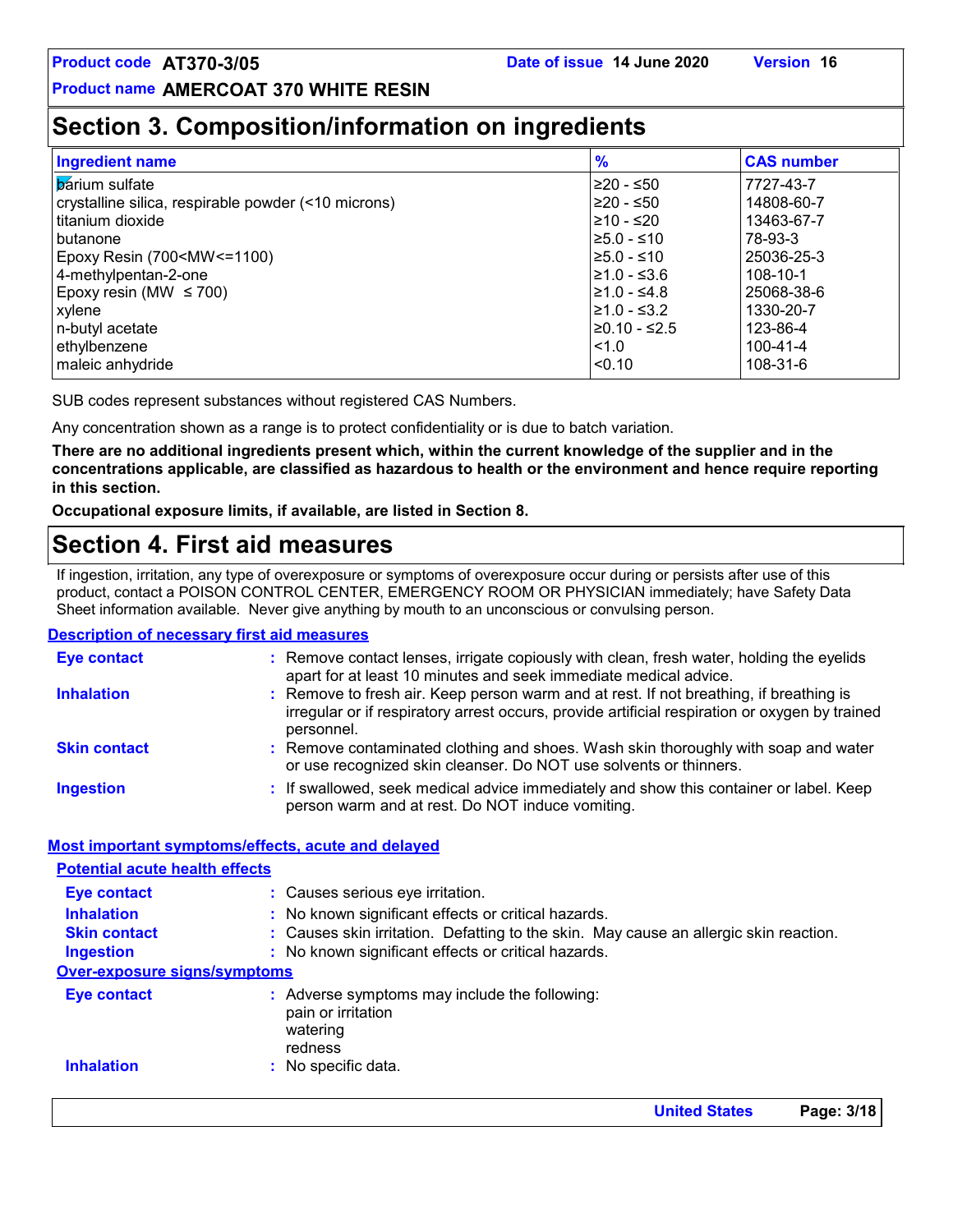### **Section 3. Composition/information on ingredients**

| <b>Ingredient name</b>                                                                  | $\frac{9}{6}$ | <b>CAS number</b> |
|-----------------------------------------------------------------------------------------|---------------|-------------------|
| <b>b</b> arium sulfate                                                                  | l≥20 - ≤50    | 7727-43-7         |
| crystalline silica, respirable powder (<10 microns)                                     | ≥20 - ≤50     | 14808-60-7        |
| l titanium dioxide                                                                      | l≥10 - ≤20    | 13463-67-7        |
| l butanone                                                                              | l≥5.0 - ≤10   | 78-93-3           |
| Epoxy Resin (700 <mw<=1100)< td=""><td>l≥5.0 - ≤10</td><td>25036-25-3</td></mw<=1100)<> | l≥5.0 - ≤10   | 25036-25-3        |
| 4-methylpentan-2-one                                                                    | 1≥1.0 - ≤3.6  | 108-10-1          |
| Epoxy resin (MW $\leq$ 700)                                                             | l≥1.0 - ≤4.8  | 25068-38-6        |
| xylene                                                                                  | l≥1.0 - ≤3.2  | 1330-20-7         |
| n-butyl acetate                                                                         | l≥0.10 - ≤2.5 | 123-86-4          |
| ethylbenzene                                                                            | $15 - 10$     | 100-41-4          |
| maleic anhydride                                                                        | < 0.10        | 108-31-6          |

SUB codes represent substances without registered CAS Numbers.

Any concentration shown as a range is to protect confidentiality or is due to batch variation.

**There are no additional ingredients present which, within the current knowledge of the supplier and in the concentrations applicable, are classified as hazardous to health or the environment and hence require reporting in this section.**

**Occupational exposure limits, if available, are listed in Section 8.**

### **Section 4. First aid measures**

If ingestion, irritation, any type of overexposure or symptoms of overexposure occur during or persists after use of this product, contact a POISON CONTROL CENTER, EMERGENCY ROOM OR PHYSICIAN immediately; have Safety Data Sheet information available. Never give anything by mouth to an unconscious or convulsing person.

#### **Description of necessary first aid measures**

| <b>Eye contact</b>  | : Remove contact lenses, irrigate copiously with clean, fresh water, holding the eyelids<br>apart for at least 10 minutes and seek immediate medical advice.                                           |  |
|---------------------|--------------------------------------------------------------------------------------------------------------------------------------------------------------------------------------------------------|--|
| <b>Inhalation</b>   | : Remove to fresh air. Keep person warm and at rest. If not breathing, if breathing is<br>irregular or if respiratory arrest occurs, provide artificial respiration or oxygen by trained<br>personnel. |  |
| <b>Skin contact</b> | : Remove contaminated clothing and shoes. Wash skin thoroughly with soap and water<br>or use recognized skin cleanser. Do NOT use solvents or thinners.                                                |  |
| <b>Ingestion</b>    | : If swallowed, seek medical advice immediately and show this container or label. Keep<br>person warm and at rest. Do NOT induce vomiting.                                                             |  |

#### **Most important symptoms/effects, acute and delayed**

| <b>Potential acute health effects</b> |                                                                                            |
|---------------------------------------|--------------------------------------------------------------------------------------------|
| <b>Eye contact</b>                    | : Causes serious eye irritation.                                                           |
| <b>Inhalation</b>                     | : No known significant effects or critical hazards.                                        |
| <b>Skin contact</b>                   | : Causes skin irritation. Defatting to the skin. May cause an allergic skin reaction.      |
| <b>Ingestion</b>                      | : No known significant effects or critical hazards.                                        |
| <b>Over-exposure signs/symptoms</b>   |                                                                                            |
| <b>Eye contact</b>                    | : Adverse symptoms may include the following:<br>pain or irritation<br>watering<br>redness |
| <b>Inhalation</b>                     | : No specific data.                                                                        |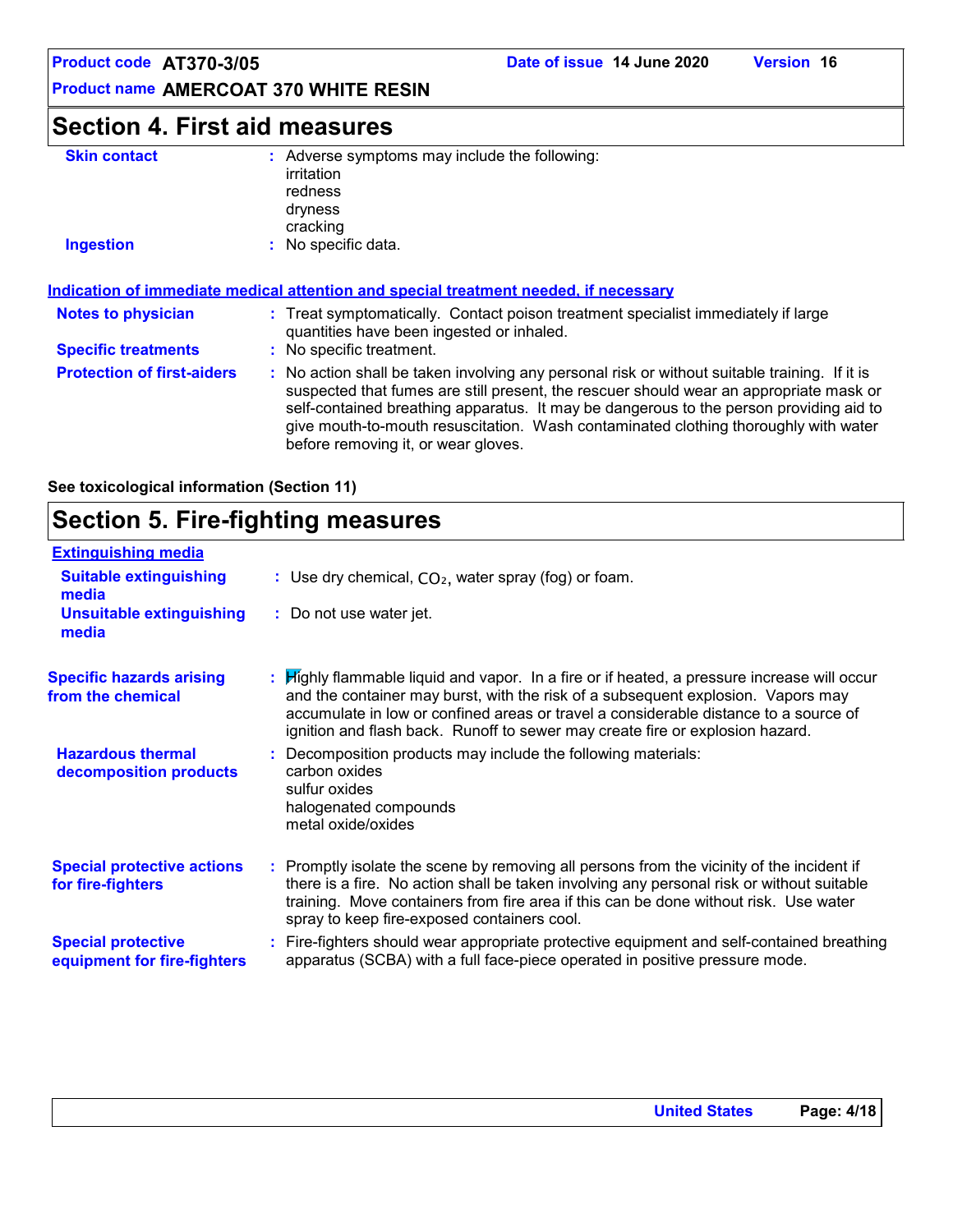### **Section 4. First aid measures**

| <b>Skin contact</b>                                                                  | : Adverse symptoms may include the following:<br>irritation<br>redness<br>dryness<br>cracking                                                                                                                                                                                                                                                                                                                   |  |  |
|--------------------------------------------------------------------------------------|-----------------------------------------------------------------------------------------------------------------------------------------------------------------------------------------------------------------------------------------------------------------------------------------------------------------------------------------------------------------------------------------------------------------|--|--|
| <b>Ingestion</b>                                                                     | : No specific data.                                                                                                                                                                                                                                                                                                                                                                                             |  |  |
| Indication of immediate medical attention and special treatment needed, if necessary |                                                                                                                                                                                                                                                                                                                                                                                                                 |  |  |
| <b>Notes to physician</b>                                                            | : Treat symptomatically. Contact poison treatment specialist immediately if large<br>quantities have been ingested or inhaled.                                                                                                                                                                                                                                                                                  |  |  |
| <b>Specific treatments</b>                                                           | : No specific treatment.                                                                                                                                                                                                                                                                                                                                                                                        |  |  |
| <b>Protection of first-aiders</b>                                                    | : No action shall be taken involving any personal risk or without suitable training. If it is<br>suspected that fumes are still present, the rescuer should wear an appropriate mask or<br>self-contained breathing apparatus. It may be dangerous to the person providing aid to<br>give mouth-to-mouth resuscitation. Wash contaminated clothing thoroughly with water<br>before removing it, or wear gloves. |  |  |

**See toxicological information (Section 11)**

### **Section 5. Fire-fighting measures**

| <b>Extinguishing media</b>                               |                                                                                                                                                                                                                                                                                                                                                                      |
|----------------------------------------------------------|----------------------------------------------------------------------------------------------------------------------------------------------------------------------------------------------------------------------------------------------------------------------------------------------------------------------------------------------------------------------|
| <b>Suitable extinguishing</b><br>media                   | : Use dry chemical, $CO2$ , water spray (fog) or foam.                                                                                                                                                                                                                                                                                                               |
| <b>Unsuitable extinguishing</b><br>media                 | : Do not use water jet.                                                                                                                                                                                                                                                                                                                                              |
| <b>Specific hazards arising</b><br>from the chemical     | <b>If its Highly flammable liquid and vapor.</b> In a fire or if heated, a pressure increase will occur<br>and the container may burst, with the risk of a subsequent explosion. Vapors may<br>accumulate in low or confined areas or travel a considerable distance to a source of<br>ignition and flash back. Runoff to sewer may create fire or explosion hazard. |
| <b>Hazardous thermal</b><br>decomposition products       | Decomposition products may include the following materials:<br>carbon oxides<br>sulfur oxides<br>halogenated compounds<br>metal oxide/oxides                                                                                                                                                                                                                         |
| <b>Special protective actions</b><br>for fire-fighters   | : Promptly isolate the scene by removing all persons from the vicinity of the incident if<br>there is a fire. No action shall be taken involving any personal risk or without suitable<br>training. Move containers from fire area if this can be done without risk. Use water<br>spray to keep fire-exposed containers cool.                                        |
| <b>Special protective</b><br>equipment for fire-fighters | Fire-fighters should wear appropriate protective equipment and self-contained breathing<br>apparatus (SCBA) with a full face-piece operated in positive pressure mode.                                                                                                                                                                                               |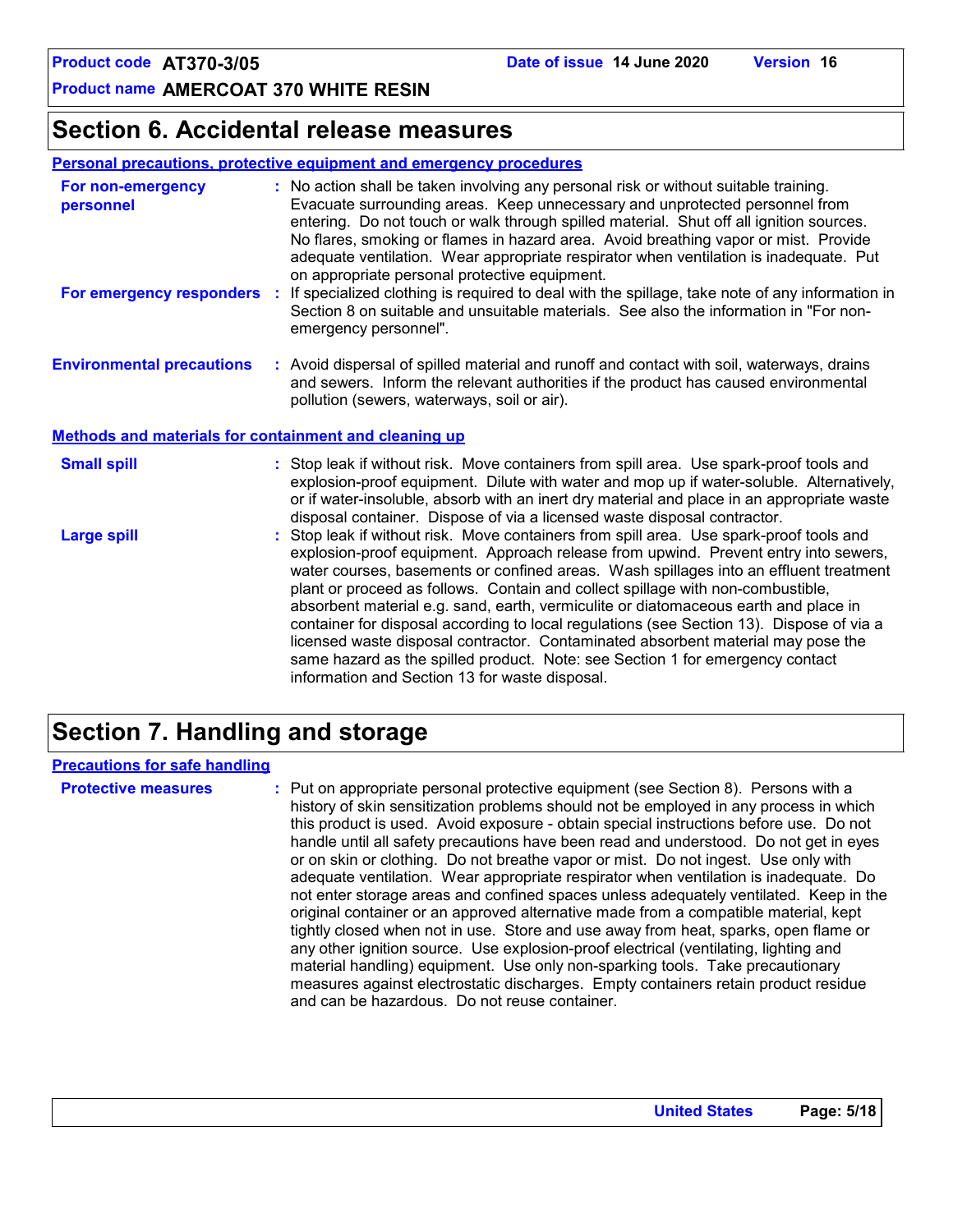### **Section 6. Accidental release measures**

#### **Personal precautions, protective equipment and emergency procedures**

| For non-emergency<br>personnel                               |                                                                                                                                                                                                                                                                                                                                                            | : No action shall be taken involving any personal risk or without suitable training.<br>Evacuate surrounding areas. Keep unnecessary and unprotected personnel from<br>entering. Do not touch or walk through spilled material. Shut off all ignition sources.<br>No flares, smoking or flames in hazard area. Avoid breathing vapor or mist. Provide<br>adequate ventilation. Wear appropriate respirator when ventilation is inadequate. Put<br>on appropriate personal protective equipment. |  |
|--------------------------------------------------------------|------------------------------------------------------------------------------------------------------------------------------------------------------------------------------------------------------------------------------------------------------------------------------------------------------------------------------------------------------------|-------------------------------------------------------------------------------------------------------------------------------------------------------------------------------------------------------------------------------------------------------------------------------------------------------------------------------------------------------------------------------------------------------------------------------------------------------------------------------------------------|--|
| For emergency responders                                     |                                                                                                                                                                                                                                                                                                                                                            | : If specialized clothing is required to deal with the spillage, take note of any information in<br>Section 8 on suitable and unsuitable materials. See also the information in "For non-<br>emergency personnel".                                                                                                                                                                                                                                                                              |  |
| <b>Environmental precautions</b>                             |                                                                                                                                                                                                                                                                                                                                                            | : Avoid dispersal of spilled material and runoff and contact with soil, waterways, drains<br>and sewers. Inform the relevant authorities if the product has caused environmental<br>pollution (sewers, waterways, soil or air).                                                                                                                                                                                                                                                                 |  |
| <b>Methods and materials for containment and cleaning up</b> |                                                                                                                                                                                                                                                                                                                                                            |                                                                                                                                                                                                                                                                                                                                                                                                                                                                                                 |  |
| <b>Small spill</b>                                           |                                                                                                                                                                                                                                                                                                                                                            | : Stop leak if without risk. Move containers from spill area. Use spark-proof tools and<br>explosion-proof equipment. Dilute with water and mop up if water-soluble. Alternatively,<br>or if water-insoluble, absorb with an inert dry material and place in an appropriate waste<br>disposal container. Dispose of via a licensed waste disposal contractor.                                                                                                                                   |  |
| <b>Large spill</b>                                           | : Stop leak if without risk. Move containers from spill area. Use spark-proof tools and<br>explosion-proof equipment. Approach release from upwind. Prevent entry into sewers,<br>water courses, basements or confined areas. Wash spillages into an effluent treatment<br>plant or proceed as follows. Contain and collect spillage with non-combustible, |                                                                                                                                                                                                                                                                                                                                                                                                                                                                                                 |  |

absorbent material e.g. sand, earth, vermiculite or diatomaceous earth and place in container for disposal according to local regulations (see Section 13). Dispose of via a licensed waste disposal contractor. Contaminated absorbent material may pose the same hazard as the spilled product. Note: see Section 1 for emergency contact information and Section 13 for waste disposal.

### **Section 7. Handling and storage**

#### **Precautions for safe handling**

**Protective measures the C**: Put on appropriate personal protective equipment (see Section 8). Persons with a **Protes** history of skin sensitization problems should not be employed in any process in which this product is used. Avoid exposure - obtain special instructions before use. Do not handle until all safety precautions have been read and understood. Do not get in eyes or on skin or clothing. Do not breathe vapor or mist. Do not ingest. Use only with adequate ventilation. Wear appropriate respirator when ventilation is inadequate. Do not enter storage areas and confined spaces unless adequately ventilated. Keep in the original container or an approved alternative made from a compatible material, kept tightly closed when not in use. Store and use away from heat, sparks, open flame or any other ignition source. Use explosion-proof electrical (ventilating, lighting and material handling) equipment. Use only non-sparking tools. Take precautionary measures against electrostatic discharges. Empty containers retain product residue and can be hazardous. Do not reuse container.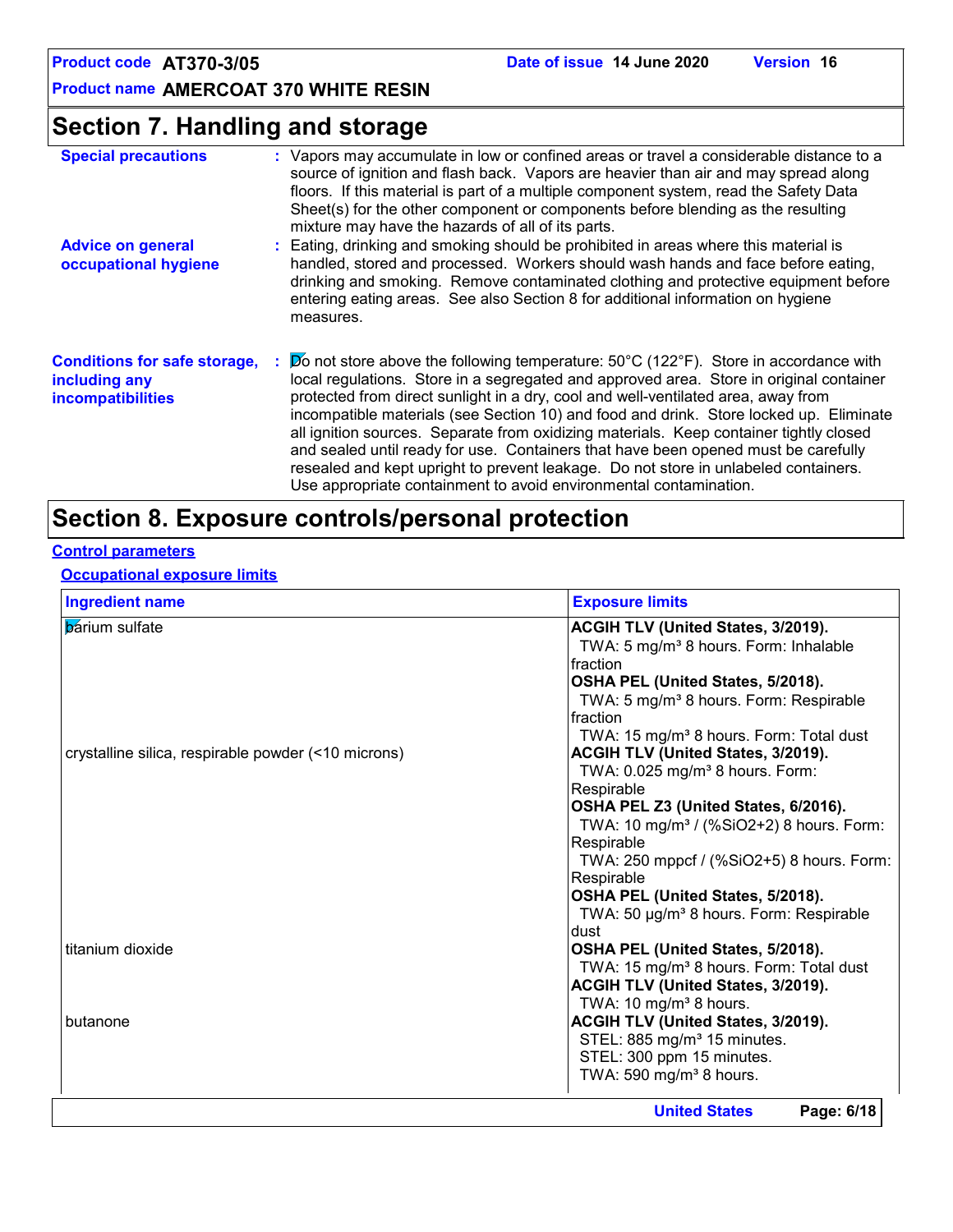### **Section 7. Handling and storage**

| <b>Special precautions</b>                                                       | : Vapors may accumulate in low or confined areas or travel a considerable distance to a<br>source of ignition and flash back. Vapors are heavier than air and may spread along<br>floors. If this material is part of a multiple component system, read the Safety Data<br>Sheet(s) for the other component or components before blending as the resulting<br>mixture may have the hazards of all of its parts.                                                                                                                                                                                                                                                                                                      |
|----------------------------------------------------------------------------------|----------------------------------------------------------------------------------------------------------------------------------------------------------------------------------------------------------------------------------------------------------------------------------------------------------------------------------------------------------------------------------------------------------------------------------------------------------------------------------------------------------------------------------------------------------------------------------------------------------------------------------------------------------------------------------------------------------------------|
| <b>Advice on general</b><br>occupational hygiene                                 | : Eating, drinking and smoking should be prohibited in areas where this material is<br>handled, stored and processed. Workers should wash hands and face before eating,<br>drinking and smoking. Remove contaminated clothing and protective equipment before<br>entering eating areas. See also Section 8 for additional information on hygiene<br>measures.                                                                                                                                                                                                                                                                                                                                                        |
| <b>Conditions for safe storage,</b><br>including any<br><i>incompatibilities</i> | $\cancel{p}$ not store above the following temperature: 50°C (122°F). Store in accordance with<br>local regulations. Store in a segregated and approved area. Store in original container<br>protected from direct sunlight in a dry, cool and well-ventilated area, away from<br>incompatible materials (see Section 10) and food and drink. Store locked up. Eliminate<br>all ignition sources. Separate from oxidizing materials. Keep container tightly closed<br>and sealed until ready for use. Containers that have been opened must be carefully<br>resealed and kept upright to prevent leakage. Do not store in unlabeled containers.<br>Use appropriate containment to avoid environmental contamination. |

### **Section 8. Exposure controls/personal protection**

### **Control parameters**

### **Occupational exposure limits**

| <b>Ingredient name</b>                              | <b>Exposure limits</b>                               |
|-----------------------------------------------------|------------------------------------------------------|
| <b>b</b> arium sulfate                              | ACGIH TLV (United States, 3/2019).                   |
|                                                     | TWA: 5 mg/m <sup>3</sup> 8 hours. Form: Inhalable    |
|                                                     | fraction                                             |
|                                                     | OSHA PEL (United States, 5/2018).                    |
|                                                     | TWA: 5 mg/m <sup>3</sup> 8 hours. Form: Respirable   |
|                                                     | fraction                                             |
|                                                     | TWA: 15 mg/m <sup>3</sup> 8 hours. Form: Total dust  |
| crystalline silica, respirable powder (<10 microns) | ACGIH TLV (United States, 3/2019).                   |
|                                                     | TWA: 0.025 mg/m <sup>3</sup> 8 hours. Form:          |
|                                                     | Respirable                                           |
|                                                     | OSHA PEL Z3 (United States, 6/2016).                 |
|                                                     | TWA: 10 mg/m <sup>3</sup> / (%SiO2+2) 8 hours. Form: |
|                                                     | Respirable                                           |
|                                                     | TWA: 250 mppcf / (%SiO2+5) 8 hours. Form:            |
|                                                     | Respirable                                           |
|                                                     | OSHA PEL (United States, 5/2018).                    |
|                                                     | TWA: 50 µg/m <sup>3</sup> 8 hours. Form: Respirable  |
|                                                     | dust                                                 |
| titanium dioxide                                    | OSHA PEL (United States, 5/2018).                    |
|                                                     | TWA: 15 mg/m <sup>3</sup> 8 hours. Form: Total dust  |
|                                                     | ACGIH TLV (United States, 3/2019).                   |
|                                                     | TWA: 10 mg/m <sup>3</sup> 8 hours.                   |
| butanone                                            | ACGIH TLV (United States, 3/2019).                   |
|                                                     | STEL: 885 mg/m <sup>3</sup> 15 minutes.              |
|                                                     | STEL: 300 ppm 15 minutes.                            |
|                                                     | TWA: 590 mg/m <sup>3</sup> 8 hours.                  |
|                                                     | Page: 6/18<br><b>United States</b>                   |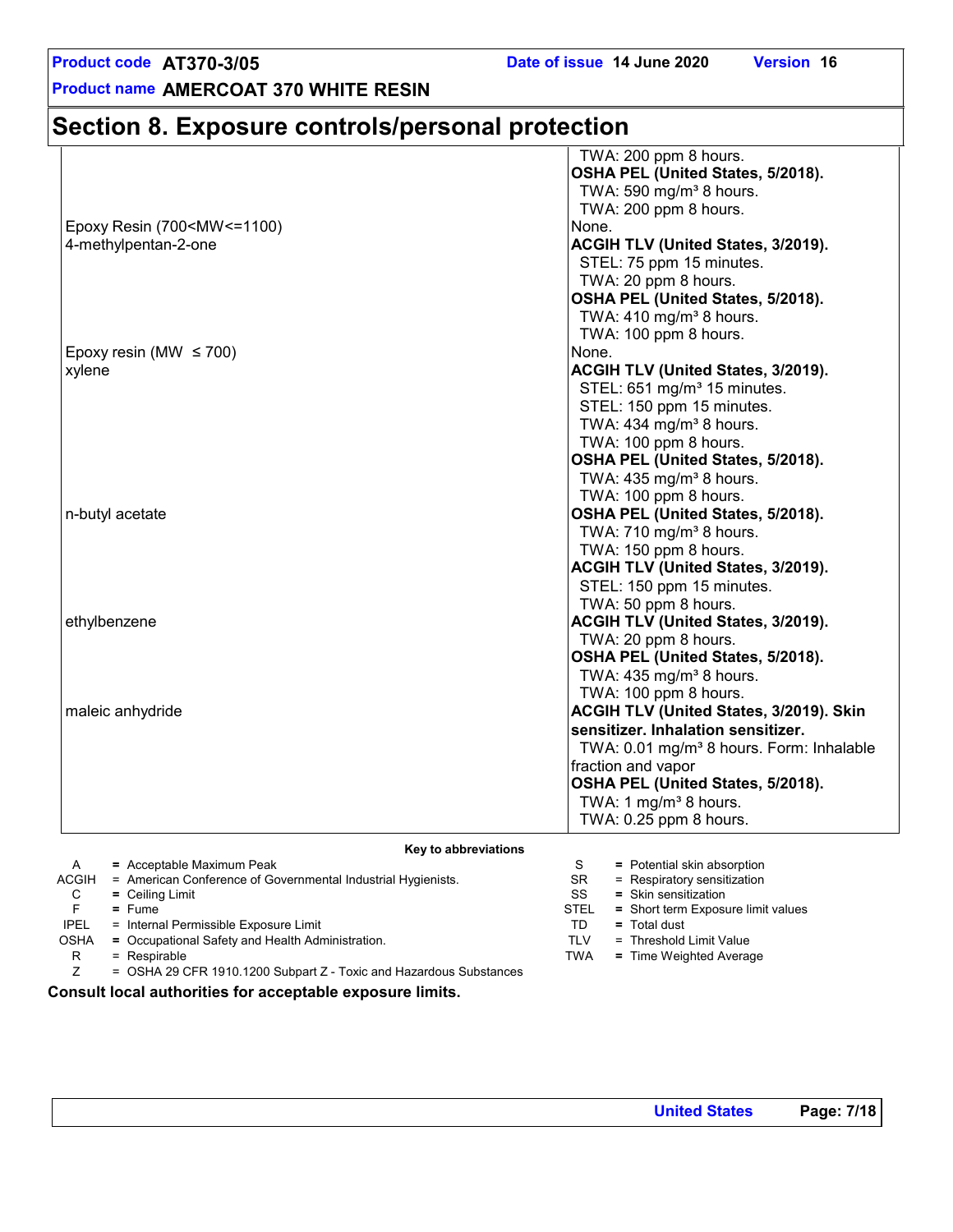### **Section 8. Exposure controls/personal protection**

|                                                                | TWA: 200 ppm 8 hours.                                |
|----------------------------------------------------------------|------------------------------------------------------|
|                                                                | OSHA PEL (United States, 5/2018).                    |
|                                                                | TWA: 590 mg/m <sup>3</sup> 8 hours.                  |
|                                                                | TWA: 200 ppm 8 hours.                                |
| Epoxy Resin (700 <mw<=1100)< td=""><td>None.</td></mw<=1100)<> | None.                                                |
| 4-methylpentan-2-one                                           | ACGIH TLV (United States, 3/2019).                   |
|                                                                | STEL: 75 ppm 15 minutes.                             |
|                                                                | TWA: 20 ppm 8 hours.                                 |
|                                                                | OSHA PEL (United States, 5/2018).                    |
|                                                                | TWA: $410$ mg/m <sup>3</sup> 8 hours.                |
|                                                                | TWA: 100 ppm 8 hours.                                |
| Epoxy resin (MW $\leq$ 700)                                    | None.                                                |
| xylene                                                         | ACGIH TLV (United States, 3/2019).                   |
|                                                                | STEL: 651 mg/m <sup>3</sup> 15 minutes.              |
|                                                                | STEL: 150 ppm 15 minutes.                            |
|                                                                | TWA: 434 mg/m <sup>3</sup> 8 hours.                  |
|                                                                | TWA: 100 ppm 8 hours.                                |
|                                                                | OSHA PEL (United States, 5/2018).                    |
|                                                                | TWA: $435 \text{ mg/m}^3$ 8 hours.                   |
|                                                                | TWA: 100 ppm 8 hours.                                |
| n-butyl acetate                                                | OSHA PEL (United States, 5/2018).                    |
|                                                                | TWA: 710 mg/m <sup>3</sup> 8 hours.                  |
|                                                                | TWA: 150 ppm 8 hours.                                |
|                                                                | ACGIH TLV (United States, 3/2019).                   |
|                                                                | STEL: 150 ppm 15 minutes.                            |
|                                                                | TWA: 50 ppm 8 hours.                                 |
| ethylbenzene                                                   | ACGIH TLV (United States, 3/2019).                   |
|                                                                | TWA: 20 ppm 8 hours.                                 |
|                                                                | OSHA PEL (United States, 5/2018).                    |
|                                                                | TWA: 435 mg/m <sup>3</sup> 8 hours.                  |
|                                                                | TWA: 100 ppm 8 hours.                                |
| maleic anhydride                                               | ACGIH TLV (United States, 3/2019). Skin              |
|                                                                | sensitizer. Inhalation sensitizer.                   |
|                                                                | TWA: 0.01 mg/m <sup>3</sup> 8 hours. Form: Inhalable |
|                                                                | fraction and vapor                                   |
|                                                                | OSHA PEL (United States, 5/2018).                    |
|                                                                | TWA: 1 mg/m <sup>3</sup> 8 hours.                    |
|                                                                | TWA: 0.25 ppm 8 hours.                               |
|                                                                |                                                      |

**Key to abbreviations**

|             | $=$ Acceptable Maximum Peak                                        |             | = Potential skin absorption        |
|-------------|--------------------------------------------------------------------|-------------|------------------------------------|
| ACGIH       | = American Conference of Governmental Industrial Hygienists.       | SR.         | $=$ Respiratory sensitization      |
| С           | $=$ Ceiling Limit                                                  | SS          | $=$ Skin sensitization             |
|             | $=$ Fume                                                           | <b>STEL</b> | = Short term Exposure limit values |
| <b>IPEL</b> | = Internal Permissible Exposure Limit                              | TD          | $=$ Total dust                     |
| <b>OSHA</b> | = Occupational Safety and Health Administration.                   | TLV         | = Threshold Limit Value            |
| R           | $=$ Respirable                                                     | TWA         | = Time Weighted Average            |
|             | = OSHA 29 CFR 1910.1200 Subpart Z - Toxic and Hazardous Substances |             |                                    |

**Consult local authorities for acceptable exposure limits.**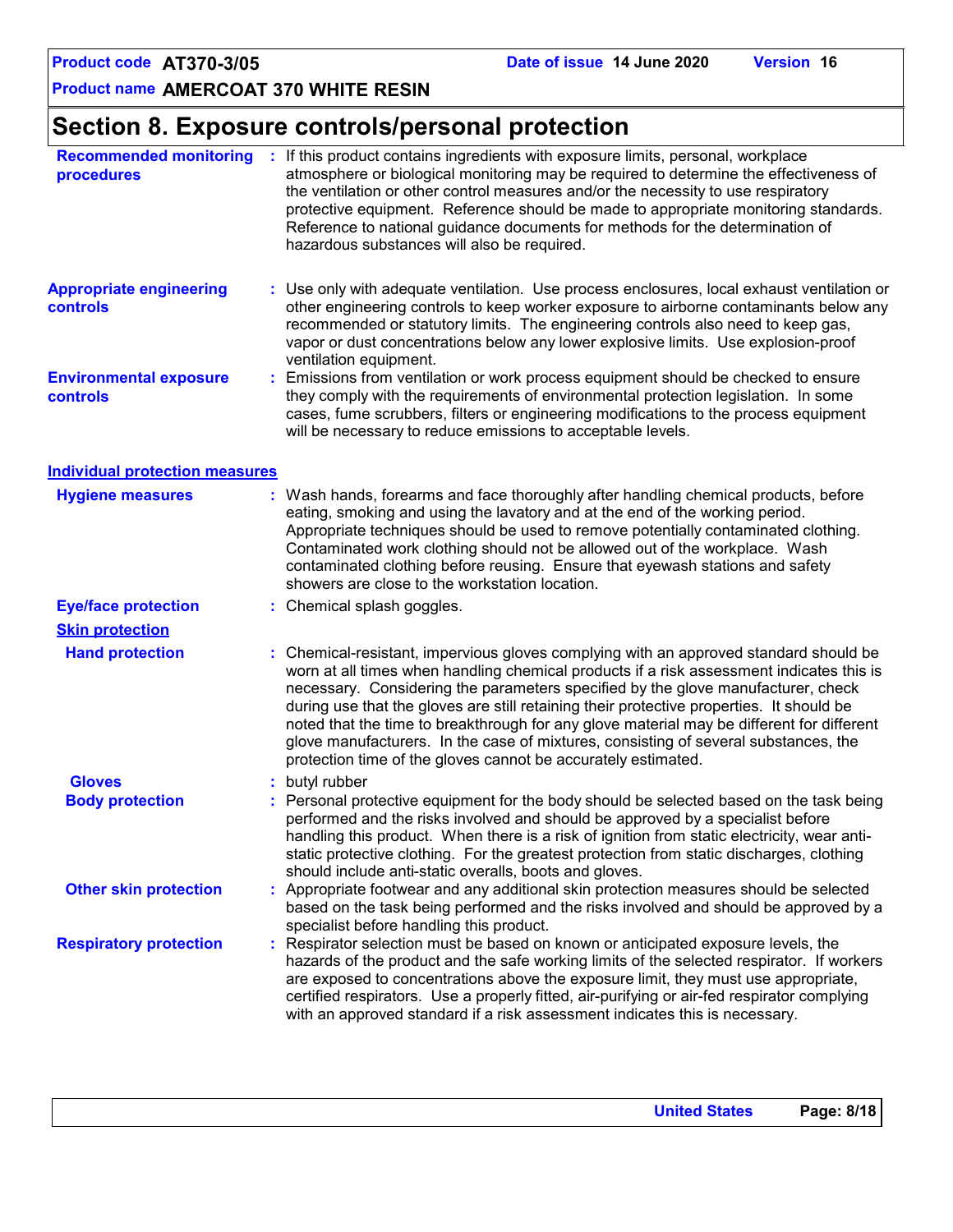### **Section 8. Exposure controls/personal protection**

| <b>Recommended monitoring</b><br>procedures |    | : If this product contains ingredients with exposure limits, personal, workplace<br>atmosphere or biological monitoring may be required to determine the effectiveness of<br>the ventilation or other control measures and/or the necessity to use respiratory<br>protective equipment. Reference should be made to appropriate monitoring standards.<br>Reference to national guidance documents for methods for the determination of<br>hazardous substances will also be required.                                                                                                                                |
|---------------------------------------------|----|----------------------------------------------------------------------------------------------------------------------------------------------------------------------------------------------------------------------------------------------------------------------------------------------------------------------------------------------------------------------------------------------------------------------------------------------------------------------------------------------------------------------------------------------------------------------------------------------------------------------|
| <b>Appropriate engineering</b><br>controls  |    | : Use only with adequate ventilation. Use process enclosures, local exhaust ventilation or<br>other engineering controls to keep worker exposure to airborne contaminants below any<br>recommended or statutory limits. The engineering controls also need to keep gas,<br>vapor or dust concentrations below any lower explosive limits. Use explosion-proof<br>ventilation equipment.                                                                                                                                                                                                                              |
| <b>Environmental exposure</b><br>controls   | ÷. | Emissions from ventilation or work process equipment should be checked to ensure<br>they comply with the requirements of environmental protection legislation. In some<br>cases, fume scrubbers, filters or engineering modifications to the process equipment<br>will be necessary to reduce emissions to acceptable levels.                                                                                                                                                                                                                                                                                        |
| <b>Individual protection measures</b>       |    |                                                                                                                                                                                                                                                                                                                                                                                                                                                                                                                                                                                                                      |
| <b>Hygiene measures</b>                     |    | : Wash hands, forearms and face thoroughly after handling chemical products, before<br>eating, smoking and using the lavatory and at the end of the working period.<br>Appropriate techniques should be used to remove potentially contaminated clothing.<br>Contaminated work clothing should not be allowed out of the workplace. Wash<br>contaminated clothing before reusing. Ensure that eyewash stations and safety<br>showers are close to the workstation location.                                                                                                                                          |
| <b>Eye/face protection</b>                  |    | : Chemical splash goggles.                                                                                                                                                                                                                                                                                                                                                                                                                                                                                                                                                                                           |
| <b>Skin protection</b>                      |    |                                                                                                                                                                                                                                                                                                                                                                                                                                                                                                                                                                                                                      |
| <b>Hand protection</b>                      |    | Chemical-resistant, impervious gloves complying with an approved standard should be<br>worn at all times when handling chemical products if a risk assessment indicates this is<br>necessary. Considering the parameters specified by the glove manufacturer, check<br>during use that the gloves are still retaining their protective properties. It should be<br>noted that the time to breakthrough for any glove material may be different for different<br>glove manufacturers. In the case of mixtures, consisting of several substances, the<br>protection time of the gloves cannot be accurately estimated. |
| <b>Gloves</b>                               |    | butyl rubber                                                                                                                                                                                                                                                                                                                                                                                                                                                                                                                                                                                                         |
| <b>Body protection</b>                      |    | : Personal protective equipment for the body should be selected based on the task being<br>performed and the risks involved and should be approved by a specialist before<br>handling this product. When there is a risk of ignition from static electricity, wear anti-<br>static protective clothing. For the greatest protection from static discharges, clothing<br>should include anti-static overalls, boots and gloves.                                                                                                                                                                                       |
| <b>Other skin protection</b>                |    | : Appropriate footwear and any additional skin protection measures should be selected<br>based on the task being performed and the risks involved and should be approved by a<br>specialist before handling this product.                                                                                                                                                                                                                                                                                                                                                                                            |
| <b>Respiratory protection</b>               |    | Respirator selection must be based on known or anticipated exposure levels, the<br>hazards of the product and the safe working limits of the selected respirator. If workers<br>are exposed to concentrations above the exposure limit, they must use appropriate,<br>certified respirators. Use a properly fitted, air-purifying or air-fed respirator complying<br>with an approved standard if a risk assessment indicates this is necessary.                                                                                                                                                                     |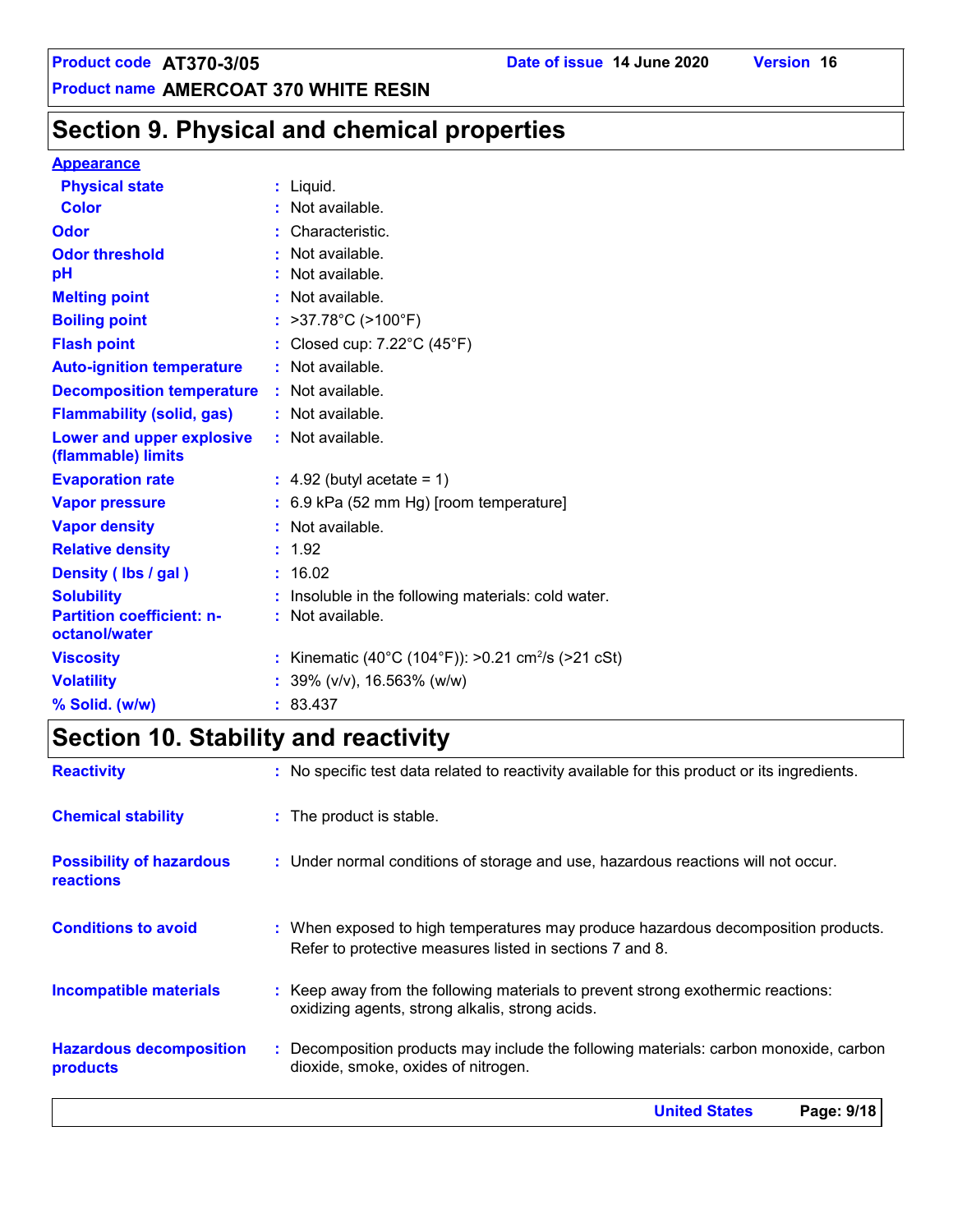### **Section 9. Physical and chemical properties**

#### **Appearance**

| <b>Physical state</b>                             | $:$ Liquid.                                                    |
|---------------------------------------------------|----------------------------------------------------------------|
| <b>Color</b>                                      | : Not available.                                               |
| Odor                                              | Characteristic.                                                |
| <b>Odor threshold</b>                             | Not available.                                                 |
| pH                                                | Not available.                                                 |
| <b>Melting point</b>                              | : Not available.                                               |
| <b>Boiling point</b>                              | : $>37.78^{\circ}C$ ( $>100^{\circ}F$ )                        |
| <b>Flash point</b>                                | : Closed cup: $7.22^{\circ}$ C (45 $^{\circ}$ F)               |
| <b>Auto-ignition temperature</b>                  | : Not available.                                               |
| <b>Decomposition temperature : Not available.</b> |                                                                |
| <b>Flammability (solid, gas)</b>                  | : Not available.                                               |
| Lower and upper explosive<br>(flammable) limits   | : Not available.                                               |
| <b>Evaporation rate</b>                           | $\therefore$ 4.92 (butyl acetate = 1)                          |
| <b>Vapor pressure</b>                             | $: 6.9$ kPa (52 mm Hg) [room temperature]                      |
| <b>Vapor density</b>                              | : Not available.                                               |
| <b>Relative density</b>                           | : 1.92                                                         |
| Density (Ibs / gal)                               | : 16.02                                                        |
| <b>Solubility</b>                                 | Insoluble in the following materials: cold water.              |
| <b>Partition coefficient: n-</b><br>octanol/water | : Not available.                                               |
| <b>Viscosity</b>                                  | : Kinematic (40°C (104°F)): >0.21 cm <sup>2</sup> /s (>21 cSt) |
| <b>Volatility</b>                                 | : $39\%$ (v/v), 16.563% (w/w)                                  |
| % Solid. (w/w)                                    | : 83.437                                                       |

## **Section 10. Stability and reactivity**

| <b>Reactivity</b>                                   | : No specific test data related to reactivity available for this product or its ingredients.                                                  |
|-----------------------------------------------------|-----------------------------------------------------------------------------------------------------------------------------------------------|
| <b>Chemical stability</b>                           | : The product is stable.                                                                                                                      |
| <b>Possibility of hazardous</b><br><b>reactions</b> | : Under normal conditions of storage and use, hazardous reactions will not occur.                                                             |
| <b>Conditions to avoid</b>                          | : When exposed to high temperatures may produce hazardous decomposition products.<br>Refer to protective measures listed in sections 7 and 8. |
| <b>Incompatible materials</b>                       | : Keep away from the following materials to prevent strong exothermic reactions:<br>oxidizing agents, strong alkalis, strong acids.           |
| <b>Hazardous decomposition</b><br>products          | : Decomposition products may include the following materials: carbon monoxide, carbon<br>dioxide, smoke, oxides of nitrogen.                  |
|                                                     | <b>United States</b><br>Page: 9/18                                                                                                            |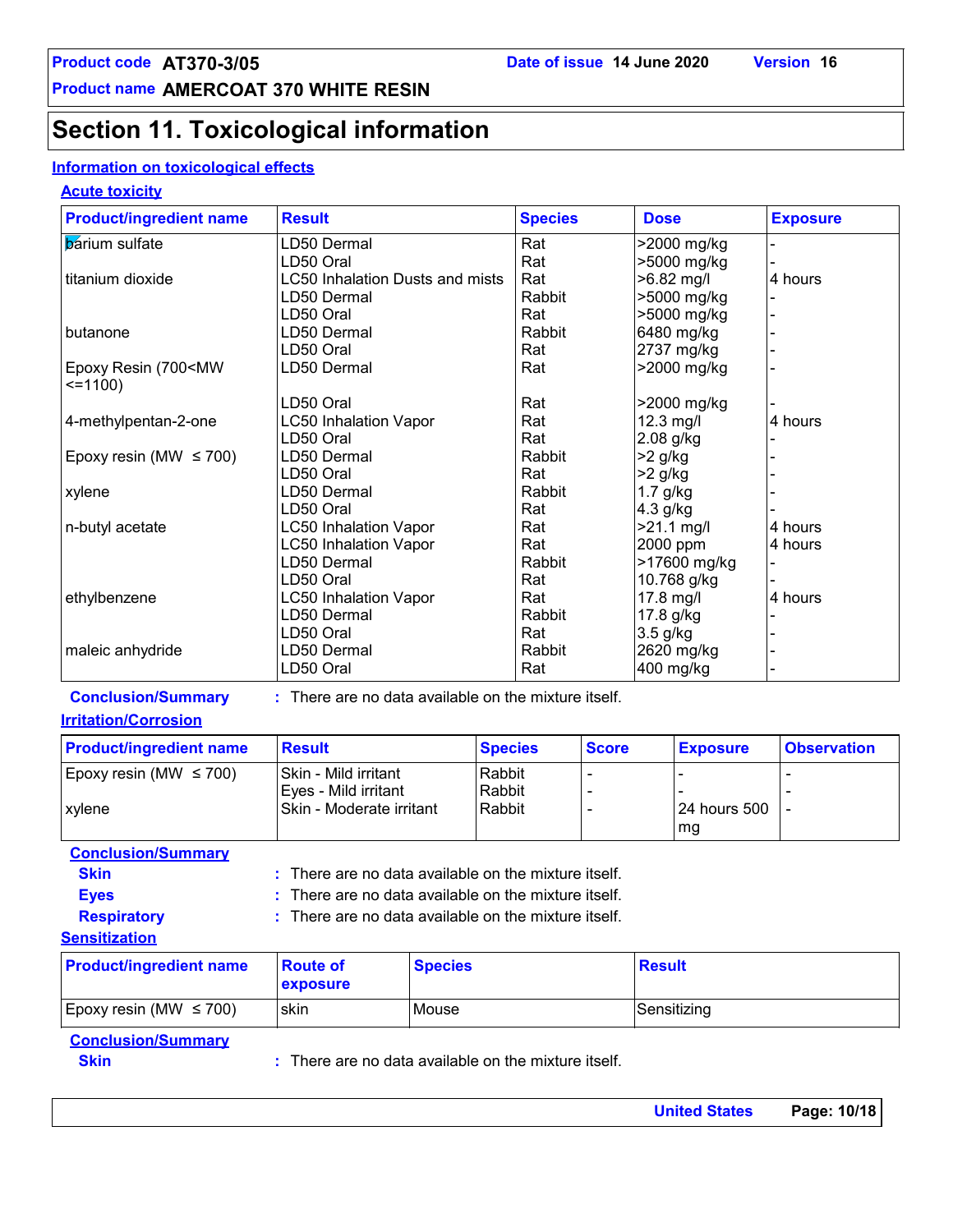### **Section 11. Toxicological information**

### **Information on toxicological effects**

#### **Acute toxicity**

| <b>Product/ingredient name</b>                             | <b>Result</b>                                            |                | <b>Species</b> |              | <b>Dose</b> |                    | <b>Exposure</b>    |
|------------------------------------------------------------|----------------------------------------------------------|----------------|----------------|--------------|-------------|--------------------|--------------------|
| <b>b</b> arium sulfate                                     | LD50 Dermal                                              |                | Rat            |              |             | >2000 mg/kg        |                    |
|                                                            | LD50 Oral                                                |                | Rat            |              |             | >5000 mg/kg        |                    |
| titanium dioxide<br><b>LC50 Inhalation Dusts and mists</b> |                                                          |                | Rat            |              | >6.82 mg/l  |                    | 4 hours            |
|                                                            | LD50 Dermal                                              |                | Rabbit         |              |             | >5000 mg/kg        |                    |
|                                                            | LD50 Oral                                                |                | Rat            |              |             | >5000 mg/kg        |                    |
| butanone                                                   | LD50 Dermal                                              |                | Rabbit         |              | 6480 mg/kg  |                    |                    |
|                                                            | LD50 Oral                                                |                | Rat            |              | 2737 mg/kg  |                    |                    |
| Epoxy Resin (700 <mw<br><math>=1100</math></mw<br>         | LD50 Dermal                                              |                | Rat            |              |             | >2000 mg/kg        |                    |
|                                                            | LD50 Oral                                                |                | Rat            |              |             | >2000 mg/kg        |                    |
| 4-methylpentan-2-one                                       | <b>LC50 Inhalation Vapor</b>                             |                | Rat            |              | 12.3 mg/l   |                    | 4 hours            |
|                                                            | LD50 Oral                                                |                | Rat            |              | 2.08 g/kg   |                    |                    |
| Epoxy resin (MW $\leq$ 700)                                | LD50 Dermal                                              |                | Rabbit         |              | $>2$ g/kg   |                    |                    |
|                                                            | LD50 Oral                                                |                | Rat            |              | $>2$ g/kg   |                    |                    |
| xylene                                                     | LD50 Dermal                                              |                | Rabbit         |              | $1.7$ g/kg  |                    |                    |
|                                                            | LD50 Oral                                                |                | Rat            |              | 4.3 g/kg    |                    |                    |
| n-butyl acetate                                            | <b>LC50 Inhalation Vapor</b>                             |                | Rat            |              | >21.1 mg/l  |                    | 4 hours            |
|                                                            | <b>LC50 Inhalation Vapor</b>                             |                | Rat            |              | 2000 ppm    |                    | 4 hours            |
|                                                            | LD50 Dermal                                              |                | Rabbit         |              |             | >17600 mg/kg       |                    |
|                                                            | LD50 Oral                                                |                | Rat            |              | 10.768 g/kg |                    |                    |
| ethylbenzene                                               | <b>LC50 Inhalation Vapor</b>                             |                | Rat            |              | 17.8 mg/l   |                    | 4 hours            |
|                                                            | LD50 Dermal                                              |                | Rabbit         |              | 17.8 g/kg   |                    |                    |
|                                                            | LD50 Oral                                                |                | Rat            |              | 3.5 g/kg    |                    |                    |
| maleic anhydride                                           | LD50 Dermal                                              |                | Rabbit         |              | 2620 mg/kg  |                    |                    |
|                                                            | LD50 Oral                                                |                | Rat            |              | 400 mg/kg   |                    |                    |
| <b>Conclusion/Summary</b>                                  | : There are no data available on the mixture itself.     |                |                |              |             |                    |                    |
| <b>Irritation/Corrosion</b>                                |                                                          |                |                |              |             |                    |                    |
| <b>Product/ingredient name</b>                             | <b>Result</b>                                            | <b>Species</b> |                | <b>Score</b> |             | <b>Exposure</b>    | <b>Observation</b> |
| Epoxy resin (MW $\leq$ 700)                                | Skin - Mild irritant                                     | Rabbit         |                |              |             |                    |                    |
|                                                            | Eyes - Mild irritant                                     | Rabbit         |                |              |             |                    |                    |
| xylene                                                     | Skin - Moderate irritant                                 | Rabbit         |                |              |             | 24 hours 500<br>mg |                    |
| <b>Conclusion/Summary</b>                                  |                                                          |                |                |              |             |                    |                    |
| <b>Claim</b>                                               | <b>There are no dete evailable on the mixture itealf</b> |                |                |              |             |                    |                    |

**Skin Example 20 EXEC 12 :** There are no data available on the mixture itself.

- **Eyes :** There are no data available on the mixture itself.
	- : There are no data available on the mixture itself.

#### **Sensitization**

**Respiratory :**

| <b>Product/ingredient name</b> | ∣Route of<br><b>exposure</b> | <b>Species</b> | Result      |
|--------------------------------|------------------------------|----------------|-------------|
| Epoxy resin (MW $\leq$ 700)    | <b>skin</b>                  | Mouse          | Sensitizing |

#### **Conclusion/Summary**

**Skin Example 20 :** There are no data available on the mixture itself.

| <b>United States</b> | Page: 10/18 |
|----------------------|-------------|
|                      |             |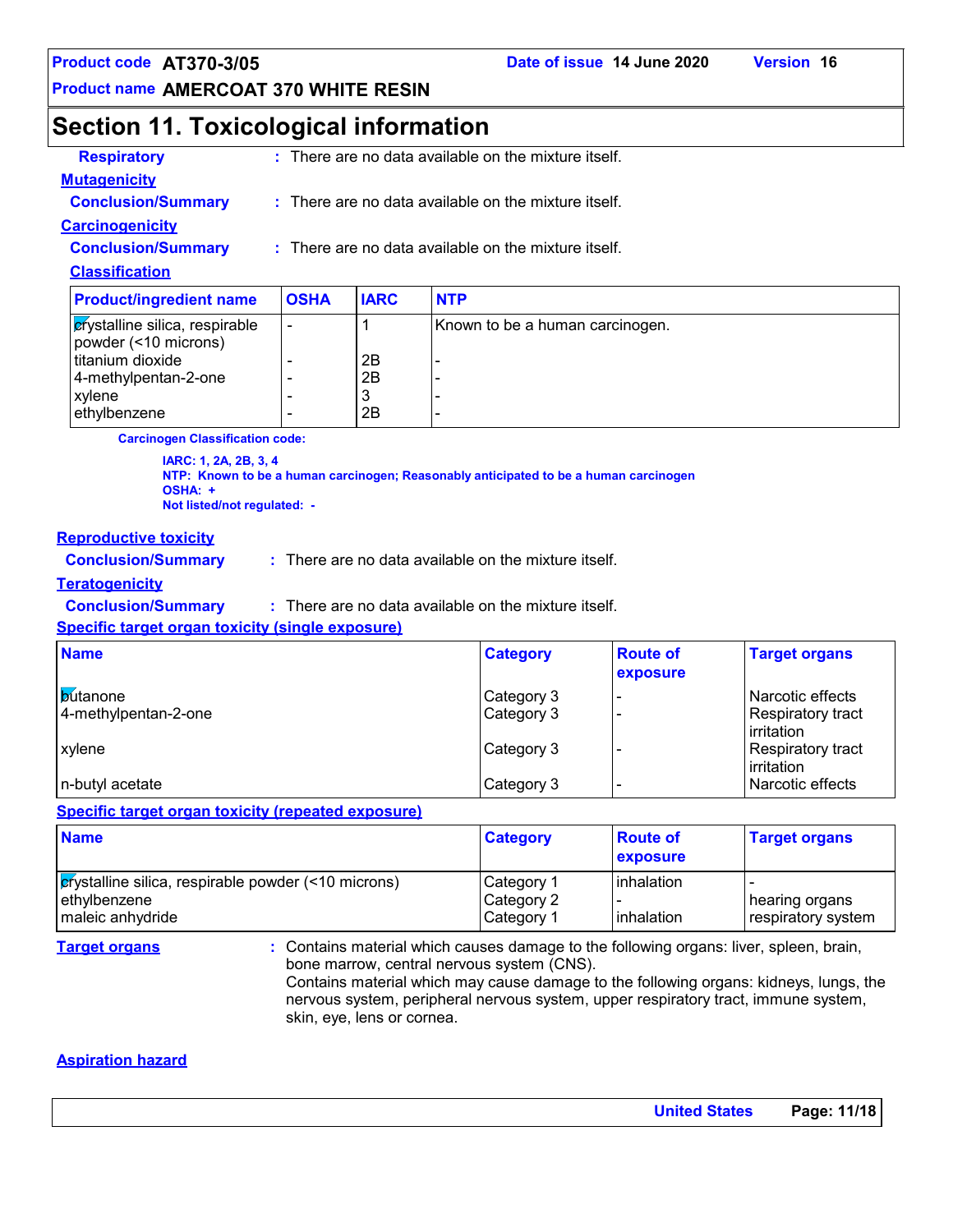**Product code AT370-3/05 Date of issue 14 June 2020 Version 16**

**Product name AMERCOAT 370 WHITE RESIN**

### **Section 11. Toxicological information**

| <b>Respiratory</b>        | : There are no data available on the mixture itself.            |
|---------------------------|-----------------------------------------------------------------|
| <b>Mutagenicity</b>       |                                                                 |
| <b>Conclusion/Summary</b> | : There are no data available on the mixture itself.            |
| <b>Carcinogenicity</b>    |                                                                 |
| <b>Conclusion/Summary</b> | $\therefore$ There are no data available on the mixture itself. |
| <b>Classification</b>     |                                                                 |
|                           |                                                                 |

| <b>Product/ingredient name</b>                                 | <b>OSHA</b> | <b>IARC</b> | <b>NTP</b>                      |
|----------------------------------------------------------------|-------------|-------------|---------------------------------|
| <b>c</b> rystalline silica, respirable<br>powder (<10 microns) | ٠           |             | Known to be a human carcinogen. |
| titanium dioxide                                               |             | 2B          |                                 |
| 4-methylpentan-2-one                                           |             | 2Β          |                                 |
| xylene                                                         |             | J           |                                 |
| ethylbenzene                                                   |             | 2B          |                                 |

**Carcinogen Classification code:**

**IARC: 1, 2A, 2B, 3, 4 NTP: Known to be a human carcinogen; Reasonably anticipated to be a human carcinogen OSHA: + Not listed/not regulated: -**

#### **Reproductive toxicity**

**Conclusion/Summary :** There are no data available on the mixture itself.

#### **Teratogenicity**

**Conclusion/Summary :** There are no data available on the mixture itself.

**Specific target organ toxicity (single exposure)**

| <b>Name</b>                             | <b>Category</b>          | <b>Route of</b><br>exposure | <b>Target organs</b>                                |
|-----------------------------------------|--------------------------|-----------------------------|-----------------------------------------------------|
| <b>butanone</b><br>4-methylpentan-2-one | Category 3<br>Category 3 |                             | Narcotic effects<br>Respiratory tract<br>irritation |
| <b>Lxvlene</b>                          | Category 3               |                             | Respiratory tract<br>irritation                     |
| n-butyl acetate                         | Category 3               |                             | Narcotic effects                                    |

#### **Specific target organ toxicity (repeated exposure)**

| <b>Name</b>                                                                           | <b>Category</b>                        | <b>Route of</b><br>exposure | <b>Target organs</b>                 |
|---------------------------------------------------------------------------------------|----------------------------------------|-----------------------------|--------------------------------------|
| <b>Example 10</b> respirable powder (<10 microns)<br>ethylbenzene<br>maleic anhydride | Category 1<br>Category 2<br>Category 1 | linhalation<br>linhalation  | hearing organs<br>respiratory system |

**Target organs :** Contains material which causes damage to the following organs: liver, spleen, brain, bone marrow, central nervous system (CNS). Contains material which may cause damage to the following organs: kidneys, lungs, the nervous system, peripheral nervous system, upper respiratory tract, immune system, skin, eye, lens or cornea.

#### **Aspiration hazard**

| <b>United States</b> | Page: 11/18 |
|----------------------|-------------|
|                      |             |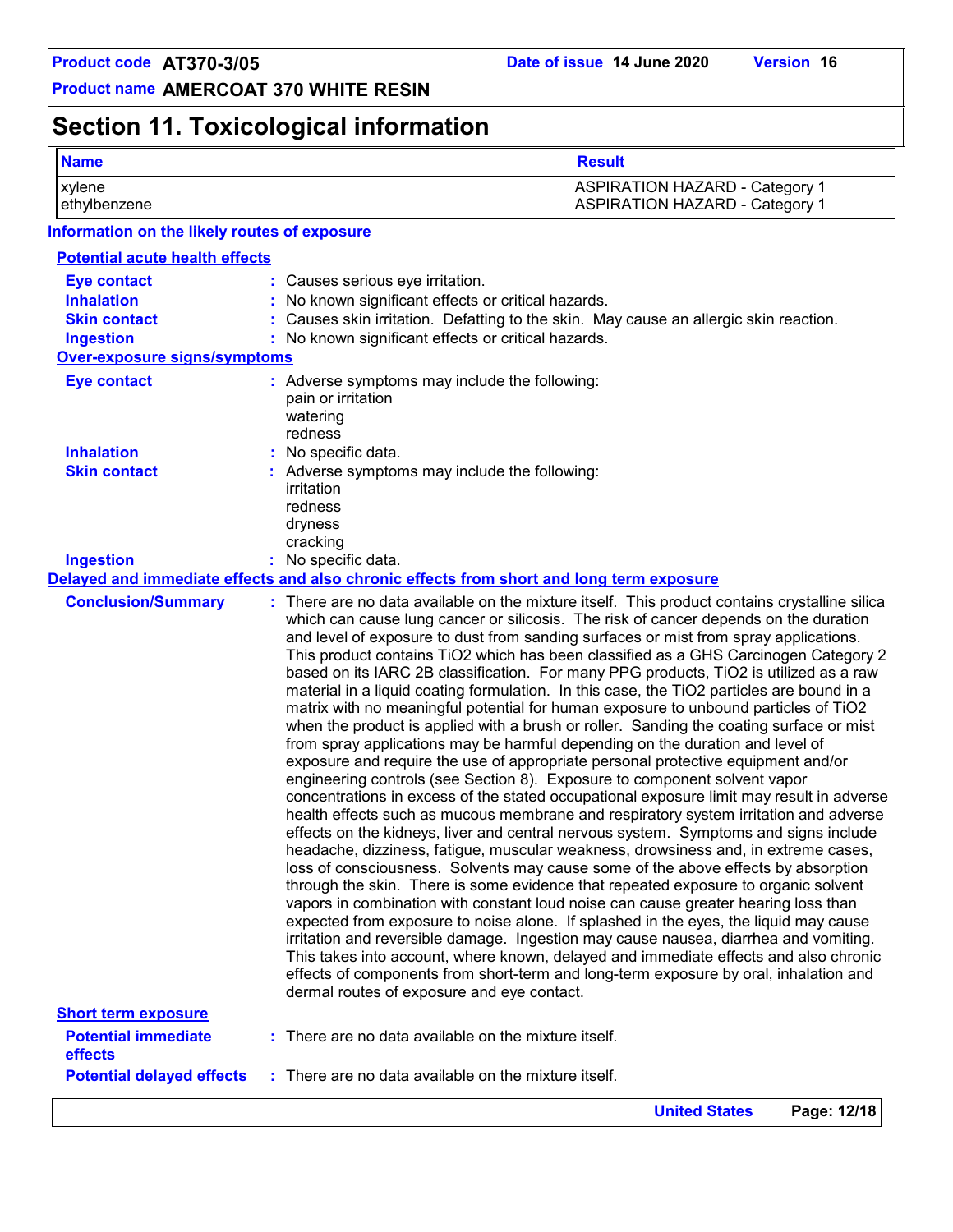## **Section 11. Toxicological information**

| <b>Name</b>                                  | <b>Result</b>                                                                  |
|----------------------------------------------|--------------------------------------------------------------------------------|
| xvlene<br>ethylbenzene                       | <b>ASPIRATION HAZARD - Category 1</b><br><b>ASPIRATION HAZARD - Category 1</b> |
| Information on the likely routes of exposure |                                                                                |

### **Potential acute health effects**

| <b>Eye contact</b>                    | : Causes serious eye irritation.                                                                                                                                                                                                                                                                                                                                                                                                                                                                                                                                                                                                                                                                                                                                                                                                                                                                                                                                                                                                                                                                                                                                                                                                                                                                                                                                                                                                                                                                                                                                                                                                                                                                                                                                                                                                                                                                                                                                                                                                                |
|---------------------------------------|-------------------------------------------------------------------------------------------------------------------------------------------------------------------------------------------------------------------------------------------------------------------------------------------------------------------------------------------------------------------------------------------------------------------------------------------------------------------------------------------------------------------------------------------------------------------------------------------------------------------------------------------------------------------------------------------------------------------------------------------------------------------------------------------------------------------------------------------------------------------------------------------------------------------------------------------------------------------------------------------------------------------------------------------------------------------------------------------------------------------------------------------------------------------------------------------------------------------------------------------------------------------------------------------------------------------------------------------------------------------------------------------------------------------------------------------------------------------------------------------------------------------------------------------------------------------------------------------------------------------------------------------------------------------------------------------------------------------------------------------------------------------------------------------------------------------------------------------------------------------------------------------------------------------------------------------------------------------------------------------------------------------------------------------------|
| <b>Inhalation</b>                     | : No known significant effects or critical hazards.                                                                                                                                                                                                                                                                                                                                                                                                                                                                                                                                                                                                                                                                                                                                                                                                                                                                                                                                                                                                                                                                                                                                                                                                                                                                                                                                                                                                                                                                                                                                                                                                                                                                                                                                                                                                                                                                                                                                                                                             |
| <b>Skin contact</b>                   | : Causes skin irritation. Defatting to the skin. May cause an allergic skin reaction.                                                                                                                                                                                                                                                                                                                                                                                                                                                                                                                                                                                                                                                                                                                                                                                                                                                                                                                                                                                                                                                                                                                                                                                                                                                                                                                                                                                                                                                                                                                                                                                                                                                                                                                                                                                                                                                                                                                                                           |
| <b>Ingestion</b>                      | : No known significant effects or critical hazards.                                                                                                                                                                                                                                                                                                                                                                                                                                                                                                                                                                                                                                                                                                                                                                                                                                                                                                                                                                                                                                                                                                                                                                                                                                                                                                                                                                                                                                                                                                                                                                                                                                                                                                                                                                                                                                                                                                                                                                                             |
| <b>Over-exposure signs/symptoms</b>   |                                                                                                                                                                                                                                                                                                                                                                                                                                                                                                                                                                                                                                                                                                                                                                                                                                                                                                                                                                                                                                                                                                                                                                                                                                                                                                                                                                                                                                                                                                                                                                                                                                                                                                                                                                                                                                                                                                                                                                                                                                                 |
| <b>Eye contact</b>                    | : Adverse symptoms may include the following:<br>pain or irritation<br>watering<br>redness                                                                                                                                                                                                                                                                                                                                                                                                                                                                                                                                                                                                                                                                                                                                                                                                                                                                                                                                                                                                                                                                                                                                                                                                                                                                                                                                                                                                                                                                                                                                                                                                                                                                                                                                                                                                                                                                                                                                                      |
| <b>Inhalation</b>                     | : No specific data.                                                                                                                                                                                                                                                                                                                                                                                                                                                                                                                                                                                                                                                                                                                                                                                                                                                                                                                                                                                                                                                                                                                                                                                                                                                                                                                                                                                                                                                                                                                                                                                                                                                                                                                                                                                                                                                                                                                                                                                                                             |
| <b>Skin contact</b>                   | : Adverse symptoms may include the following:<br>irritation<br>redness<br>dryness<br>cracking                                                                                                                                                                                                                                                                                                                                                                                                                                                                                                                                                                                                                                                                                                                                                                                                                                                                                                                                                                                                                                                                                                                                                                                                                                                                                                                                                                                                                                                                                                                                                                                                                                                                                                                                                                                                                                                                                                                                                   |
| <b>Ingestion</b>                      | : No specific data.                                                                                                                                                                                                                                                                                                                                                                                                                                                                                                                                                                                                                                                                                                                                                                                                                                                                                                                                                                                                                                                                                                                                                                                                                                                                                                                                                                                                                                                                                                                                                                                                                                                                                                                                                                                                                                                                                                                                                                                                                             |
|                                       | Delayed and immediate effects and also chronic effects from short and long term exposure                                                                                                                                                                                                                                                                                                                                                                                                                                                                                                                                                                                                                                                                                                                                                                                                                                                                                                                                                                                                                                                                                                                                                                                                                                                                                                                                                                                                                                                                                                                                                                                                                                                                                                                                                                                                                                                                                                                                                        |
| <b>Conclusion/Summary</b>             | : There are no data available on the mixture itself. This product contains crystalline silica<br>which can cause lung cancer or silicosis. The risk of cancer depends on the duration<br>and level of exposure to dust from sanding surfaces or mist from spray applications.<br>This product contains TiO2 which has been classified as a GHS Carcinogen Category 2<br>based on its IARC 2B classification. For many PPG products, TiO2 is utilized as a raw<br>material in a liquid coating formulation. In this case, the TiO2 particles are bound in a<br>matrix with no meaningful potential for human exposure to unbound particles of TiO2<br>when the product is applied with a brush or roller. Sanding the coating surface or mist<br>from spray applications may be harmful depending on the duration and level of<br>exposure and require the use of appropriate personal protective equipment and/or<br>engineering controls (see Section 8). Exposure to component solvent vapor<br>concentrations in excess of the stated occupational exposure limit may result in adverse<br>health effects such as mucous membrane and respiratory system irritation and adverse<br>effects on the kidneys, liver and central nervous system. Symptoms and signs include<br>headache, dizziness, fatigue, muscular weakness, drowsiness and, in extreme cases,<br>loss of consciousness. Solvents may cause some of the above effects by absorption<br>through the skin. There is some evidence that repeated exposure to organic solvent<br>vapors in combination with constant loud noise can cause greater hearing loss than<br>expected from exposure to noise alone. If splashed in the eyes, the liquid may cause<br>irritation and reversible damage. Ingestion may cause nausea, diarrhea and vomiting.<br>This takes into account, where known, delayed and immediate effects and also chronic<br>effects of components from short-term and long-term exposure by oral, inhalation and<br>dermal routes of exposure and eye contact. |
| <b>Short term exposure</b>            |                                                                                                                                                                                                                                                                                                                                                                                                                                                                                                                                                                                                                                                                                                                                                                                                                                                                                                                                                                                                                                                                                                                                                                                                                                                                                                                                                                                                                                                                                                                                                                                                                                                                                                                                                                                                                                                                                                                                                                                                                                                 |
| <b>Potential immediate</b><br>effects | : There are no data available on the mixture itself.                                                                                                                                                                                                                                                                                                                                                                                                                                                                                                                                                                                                                                                                                                                                                                                                                                                                                                                                                                                                                                                                                                                                                                                                                                                                                                                                                                                                                                                                                                                                                                                                                                                                                                                                                                                                                                                                                                                                                                                            |
| <b>Potential delayed effects</b>      | : There are no data available on the mixture itself.                                                                                                                                                                                                                                                                                                                                                                                                                                                                                                                                                                                                                                                                                                                                                                                                                                                                                                                                                                                                                                                                                                                                                                                                                                                                                                                                                                                                                                                                                                                                                                                                                                                                                                                                                                                                                                                                                                                                                                                            |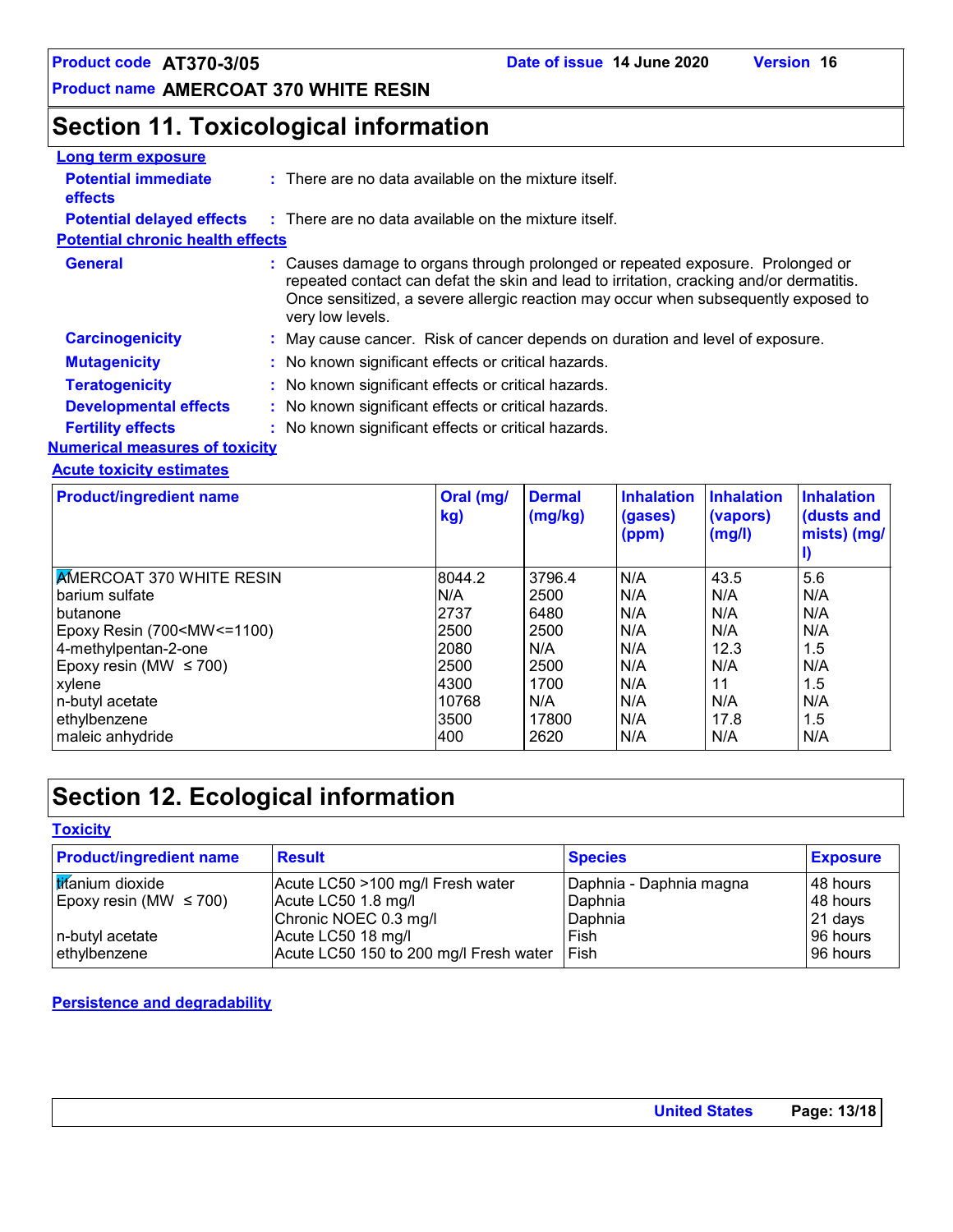### **Section 11. Toxicological information**

| Long term exposure                           |                                                                                                                                                                                                                                                                                     |
|----------------------------------------------|-------------------------------------------------------------------------------------------------------------------------------------------------------------------------------------------------------------------------------------------------------------------------------------|
| <b>Potential immediate</b><br><b>effects</b> | $\therefore$ There are no data available on the mixture itself.                                                                                                                                                                                                                     |
| <b>Potential delayed effects</b>             | $\therefore$ There are no data available on the mixture itself.                                                                                                                                                                                                                     |
| <b>Potential chronic health effects</b>      |                                                                                                                                                                                                                                                                                     |
| <b>General</b>                               | : Causes damage to organs through prolonged or repeated exposure. Prolonged or<br>repeated contact can defat the skin and lead to irritation, cracking and/or dermatitis.<br>Once sensitized, a severe allergic reaction may occur when subsequently exposed to<br>very low levels. |
| <b>Carcinogenicity</b>                       | : May cause cancer. Risk of cancer depends on duration and level of exposure.                                                                                                                                                                                                       |
| <b>Mutagenicity</b>                          | : No known significant effects or critical hazards.                                                                                                                                                                                                                                 |
| <b>Teratogenicity</b>                        | : No known significant effects or critical hazards.                                                                                                                                                                                                                                 |
| <b>Developmental effects</b>                 | : No known significant effects or critical hazards.                                                                                                                                                                                                                                 |
| <b>Fertility effects</b>                     | : No known significant effects or critical hazards.                                                                                                                                                                                                                                 |
| <b>Numerical measures of toxicity</b>        |                                                                                                                                                                                                                                                                                     |

#### **Acute toxicity estimates**

| <b>Product/ingredient name</b>                                                                            | Oral (mg/<br>kg) | <b>Dermal</b><br>(mg/kg) | <b>Inhalation</b><br>(gases)<br>(ppm) | <b>Inhalation</b><br>(vapors)<br>(mg/l) | <b>Inhalation</b><br>(dusts and<br>mists) (mg/ |
|-----------------------------------------------------------------------------------------------------------|------------------|--------------------------|---------------------------------------|-----------------------------------------|------------------------------------------------|
| <b>AMERCOAT 370 WHITE RESIN</b>                                                                           | 8044.2           | 3796.4                   | N/A                                   | 43.5                                    | 5.6                                            |
| barium sulfate                                                                                            | N/A              | 2500                     | N/A                                   | N/A                                     | N/A                                            |
| butanone                                                                                                  | 2737             | 6480                     | N/A                                   | N/A                                     | N/A                                            |
| Epoxy Resin (700 <mw <="1100)&lt;/td"><td>2500</td><td>2500</td><td>N/A</td><td>N/A</td><td>N/A</td></mw> | 2500             | 2500                     | N/A                                   | N/A                                     | N/A                                            |
| 4-methylpentan-2-one                                                                                      | 2080             | N/A                      | N/A                                   | 12.3                                    | 1.5                                            |
| Epoxy resin (MW $\leq$ 700)                                                                               | 2500             | 2500                     | N/A                                   | N/A                                     | N/A                                            |
| xylene                                                                                                    | 4300             | 1700                     | N/A                                   | 11                                      | 1.5                                            |
| n-butyl acetate                                                                                           | 10768            | N/A                      | N/A                                   | N/A                                     | N/A                                            |
| ethylbenzene                                                                                              | 3500             | 17800                    | N/A                                   | 17.8                                    | 1.5                                            |
| maleic anhydride                                                                                          | 400              | 2620                     | N/A                                   | N/A                                     | N/A                                            |

### **Section 12. Ecological information**

**Toxicity**

| <b>Product/ingredient name</b> | <b>Result</b>                          | <b>Species</b>          | <b>Exposure</b> |
|--------------------------------|----------------------------------------|-------------------------|-----------------|
| <b>Iticanium</b> dioxide       | Acute LC50 >100 mg/l Fresh water       | Daphnia - Daphnia magna | l 48 hours      |
| Epoxy resin (MW $\leq$ 700)    | Acute LC50 1.8 mg/l                    | Daphnia                 | 48 hours        |
|                                | Chronic NOEC 0.3 mg/l                  | Daphnia                 | 21 days         |
| n-butyl acetate                | Acute LC50 18 mg/l                     | Fish                    | 96 hours        |
| ethylbenzene                   | Acute LC50 150 to 200 mg/l Fresh water | <b>Fish</b>             | l 96 hours      |

#### **Persistence and degradability**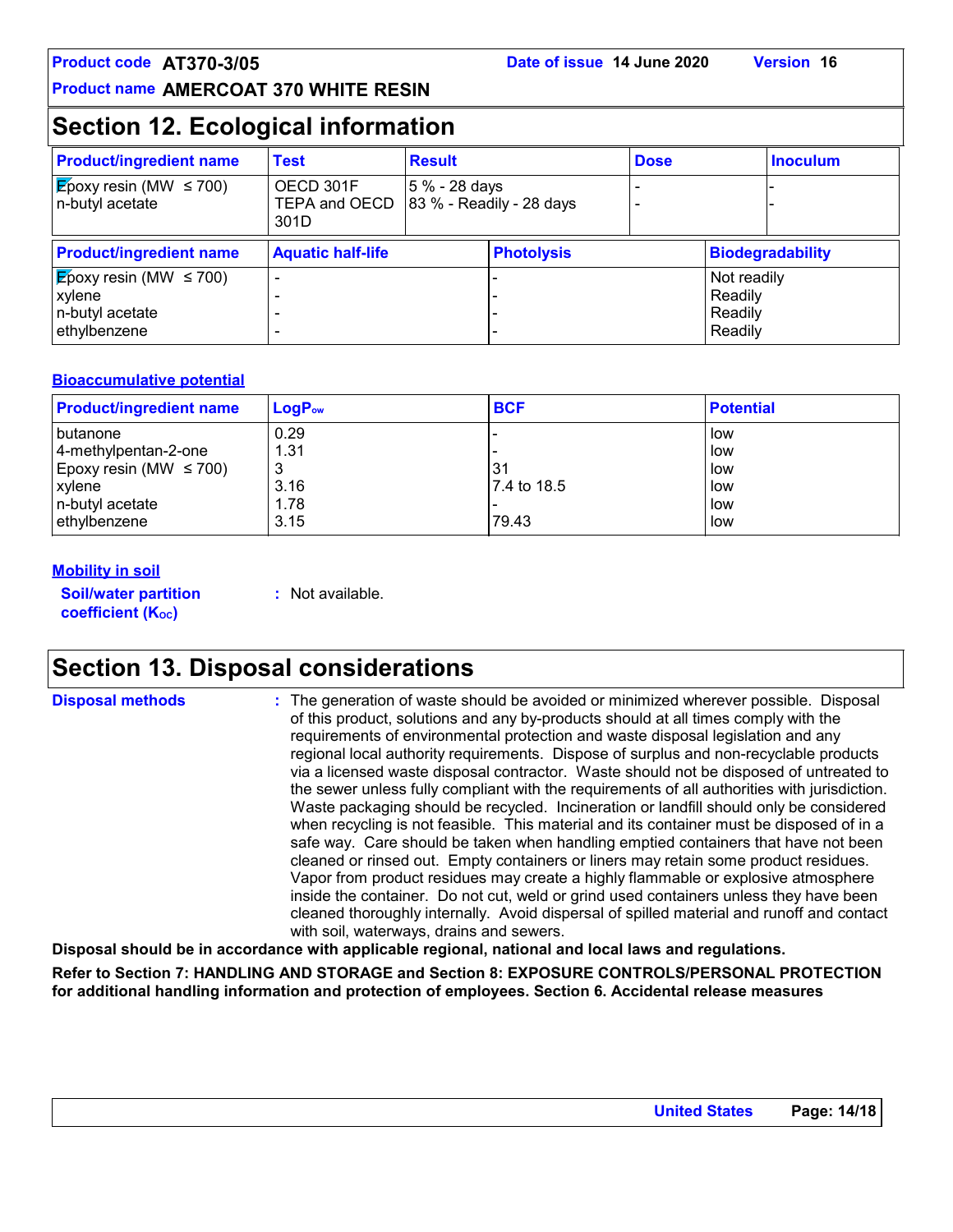### **Section 12. Ecological information**

| <b>Product/ingredient name</b>                                                        | <b>Test</b>                        | <b>Result</b> |                              | <b>Dose</b> |                                              | <b>Inoculum</b>         |
|---------------------------------------------------------------------------------------|------------------------------------|---------------|------------------------------|-------------|----------------------------------------------|-------------------------|
| $\sqrt{\mathsf{E}}$ poxy resin (MW $\leq 700$ )<br>n-butyl acetate                    | OECD 301F<br>TEPA and OECD<br>301D | 5 % - 28 days | $ 83 \%$ - Readily - 28 days |             |                                              |                         |
| <b>Product/ingredient name</b>                                                        | <b>Aquatic half-life</b>           |               | <b>Photolysis</b>            |             |                                              | <b>Biodegradability</b> |
| $ \mathbf{E}$ poxy resin (MW $\leq$ 700)<br>xylene<br>n-butyl acetate<br>ethylbenzene |                                    |               |                              |             | Not readily<br>Readily<br>Readily<br>Readily |                         |

#### **Bioaccumulative potential**

| <b>Product/ingredient name</b> | $LogP_{ow}$ | <b>BCF</b>   | <b>Potential</b> |
|--------------------------------|-------------|--------------|------------------|
| l butanone                     | 0.29        |              | l low            |
| 4-methylpentan-2-one           | 1.31        |              | l low            |
| Epoxy resin (MW $\leq$ 700)    |             | 31           | l low            |
| xylene                         | 3.16        | 17.4 to 18.5 | low              |
| n-butyl acetate                | 1.78        |              | l low            |
| ethylbenzene                   | 3.15        | 79.43        | low              |

#### **Mobility in soil**

**Soil/water partition coefficient (K**<sup>oc</sup>)

**:** Not available.

### **Section 13. Disposal considerations**

**Disposal methods :**

The generation of waste should be avoided or minimized wherever possible. Disposal of this product, solutions and any by-products should at all times comply with the requirements of environmental protection and waste disposal legislation and any regional local authority requirements. Dispose of surplus and non-recyclable products via a licensed waste disposal contractor. Waste should not be disposed of untreated to the sewer unless fully compliant with the requirements of all authorities with jurisdiction. Waste packaging should be recycled. Incineration or landfill should only be considered when recycling is not feasible. This material and its container must be disposed of in a safe way. Care should be taken when handling emptied containers that have not been cleaned or rinsed out. Empty containers or liners may retain some product residues. Vapor from product residues may create a highly flammable or explosive atmosphere inside the container. Do not cut, weld or grind used containers unless they have been cleaned thoroughly internally. Avoid dispersal of spilled material and runoff and contact with soil, waterways, drains and sewers.

**Disposal should be in accordance with applicable regional, national and local laws and regulations.**

**Refer to Section 7: HANDLING AND STORAGE and Section 8: EXPOSURE CONTROLS/PERSONAL PROTECTION for additional handling information and protection of employees. Section 6. Accidental release measures**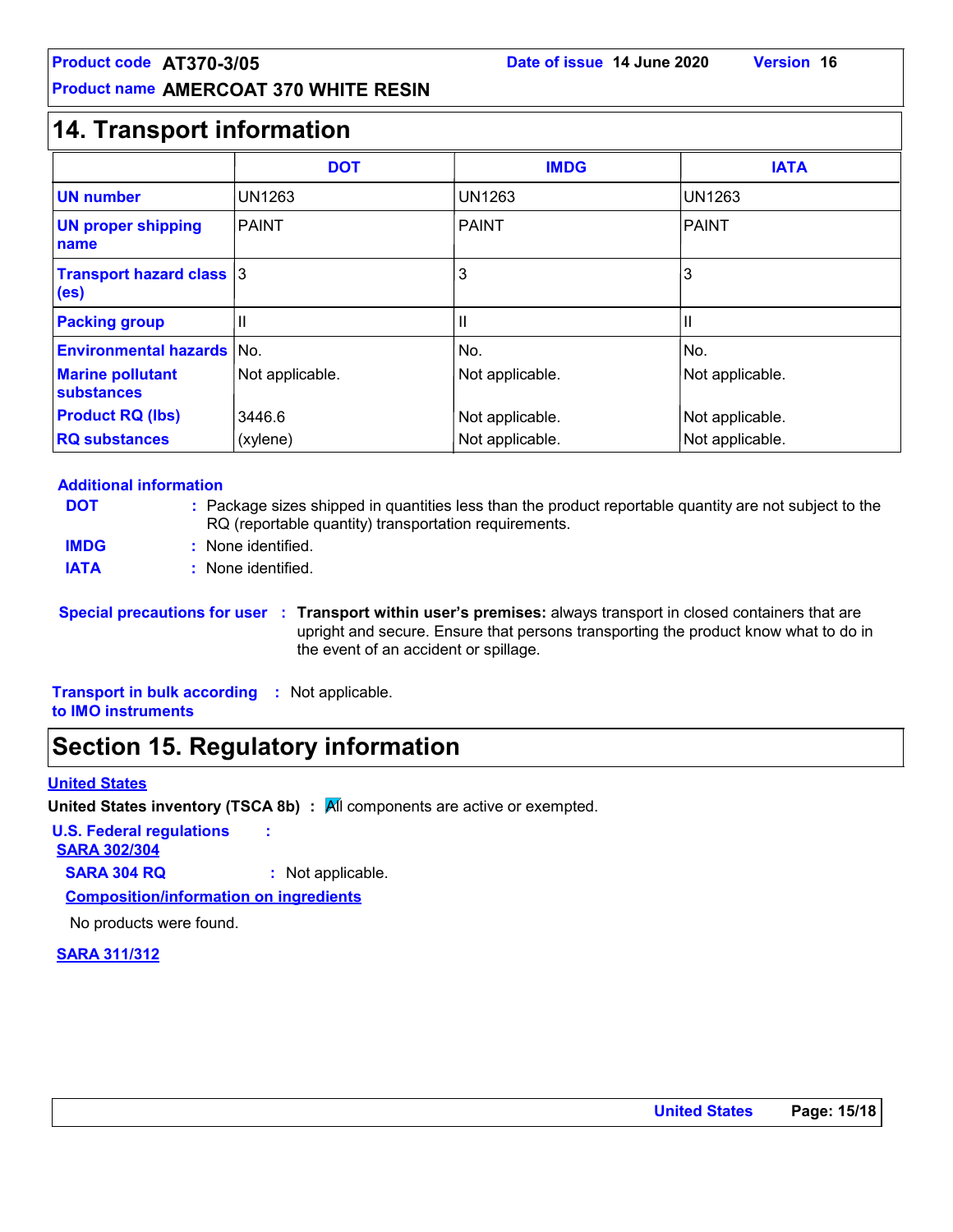### **14. Transport information**

|                                                      | <b>DOT</b>      | <b>IMDG</b>     | <b>IATA</b>     |
|------------------------------------------------------|-----------------|-----------------|-----------------|
| <b>UN number</b>                                     | <b>UN1263</b>   | <b>UN1263</b>   | <b>UN1263</b>   |
| <b>UN proper shipping</b><br>name                    | <b>PAINT</b>    | <b>PAINT</b>    | PAINT           |
| <b>Transport hazard class 3</b><br>(e <sub>s</sub> ) |                 | 3               | 3               |
| <b>Packing group</b>                                 | $\mathbf{  }$   | Ш               | Ш               |
| <b>Environmental hazards No.</b>                     |                 | No.             | INo.            |
| <b>Marine pollutant</b><br>substances                | Not applicable. | Not applicable. | Not applicable. |
| <b>Product RQ (lbs)</b>                              | 3446.6          | Not applicable. | Not applicable. |
| <b>RQ substances</b>                                 | (xylene)        | Not applicable. | Not applicable. |

#### **Additional information**

| <b>DOT</b>  | : Package sizes shipped in quantities less than the product reportable quantity are not subject to the<br>RQ (reportable quantity) transportation requirements. |
|-------------|-----------------------------------------------------------------------------------------------------------------------------------------------------------------|
| <b>IMDG</b> | : None identified.                                                                                                                                              |
| <b>IATA</b> | : None identified.                                                                                                                                              |

**Special precautions for user Transport within user's premises:** always transport in closed containers that are **:** upright and secure. Ensure that persons transporting the product know what to do in the event of an accident or spillage.

**Transport in bulk according :** Not applicable. **to IMO instruments**

### **Section 15. Regulatory information**

#### **United States**

**United States inventory (TSCA 8b) : All components are active or exempted.** 

**U.S. Federal regulations :**

**SARA 302/304**

**SARA 304 RQ :** Not applicable.

**Composition/information on ingredients**

No products were found.

#### **SARA 311/312**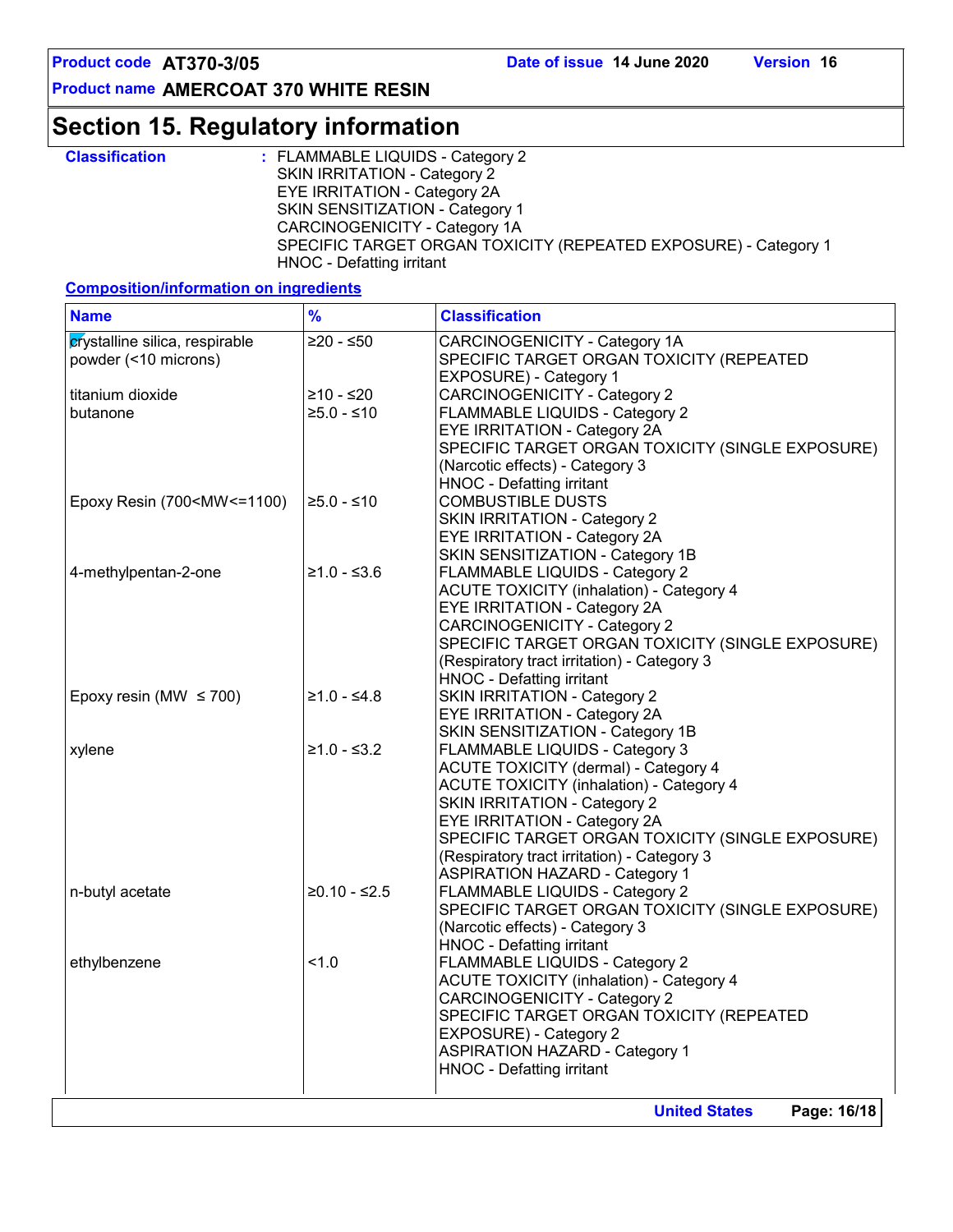### **Section 15. Regulatory information**

| <b>Classification</b> | : FLAMMABLE LIQUIDS - Category 2                                                             |
|-----------------------|----------------------------------------------------------------------------------------------|
|                       | SKIN IRRITATION - Category 2                                                                 |
|                       | <b>EYE IRRITATION - Category 2A</b>                                                          |
|                       | <b>SKIN SENSITIZATION - Category 1</b>                                                       |
|                       | CARCINOGENICITY - Category 1A                                                                |
|                       | SPECIFIC TARGET ORGAN TOXICITY (REPEATED EXPOSURE) - Category 1<br>HNOC - Defatting irritant |

### **Composition/information on ingredients**

| <b>Name</b>                                                                                                                                                                                                                | $\frac{9}{6}$  | <b>Classification</b>                                                                                                                                                                                                                                                                                                                        |
|----------------------------------------------------------------------------------------------------------------------------------------------------------------------------------------------------------------------------|----------------|----------------------------------------------------------------------------------------------------------------------------------------------------------------------------------------------------------------------------------------------------------------------------------------------------------------------------------------------|
| crystalline silica, respirable<br>powder (<10 microns)                                                                                                                                                                     | $≥20 - ≤50$    | CARCINOGENICITY - Category 1A<br>SPECIFIC TARGET ORGAN TOXICITY (REPEATED<br>EXPOSURE) - Category 1                                                                                                                                                                                                                                          |
| titanium dioxide                                                                                                                                                                                                           | $≥10 - ≤20$    | <b>CARCINOGENICITY - Category 2</b>                                                                                                                                                                                                                                                                                                          |
| butanone                                                                                                                                                                                                                   | $≥5.0 - ≤10$   | FLAMMABLE LIQUIDS - Category 2<br>EYE IRRITATION - Category 2A<br>SPECIFIC TARGET ORGAN TOXICITY (SINGLE EXPOSURE)<br>(Narcotic effects) - Category 3<br><b>HNOC - Defatting irritant</b>                                                                                                                                                    |
| Epoxy Resin (700 <mw <="1100)&lt;/td"><td><math>≥5.0 - ≤10</math></td><td><b>COMBUSTIBLE DUSTS</b><br/><b>SKIN IRRITATION - Category 2</b><br/>EYE IRRITATION - Category 2A<br/>SKIN SENSITIZATION - Category 1B</td></mw> | $≥5.0 - ≤10$   | <b>COMBUSTIBLE DUSTS</b><br><b>SKIN IRRITATION - Category 2</b><br>EYE IRRITATION - Category 2A<br>SKIN SENSITIZATION - Category 1B                                                                                                                                                                                                          |
| 4-methylpentan-2-one                                                                                                                                                                                                       | $≥1.0 - ≤3.6$  | FLAMMABLE LIQUIDS - Category 2<br><b>ACUTE TOXICITY (inhalation) - Category 4</b><br><b>EYE IRRITATION - Category 2A</b><br><b>CARCINOGENICITY - Category 2</b><br>SPECIFIC TARGET ORGAN TOXICITY (SINGLE EXPOSURE)<br>(Respiratory tract irritation) - Category 3<br><b>HNOC - Defatting irritant</b>                                       |
| Epoxy resin (MW $\leq$ 700)                                                                                                                                                                                                | $≥1.0 - ≤4.8$  | <b>SKIN IRRITATION - Category 2</b><br>EYE IRRITATION - Category 2A<br>SKIN SENSITIZATION - Category 1B                                                                                                                                                                                                                                      |
| xylene                                                                                                                                                                                                                     | $≥1.0 - ≤3.2$  | FLAMMABLE LIQUIDS - Category 3<br><b>ACUTE TOXICITY (dermal) - Category 4</b><br><b>ACUTE TOXICITY (inhalation) - Category 4</b><br>SKIN IRRITATION - Category 2<br>EYE IRRITATION - Category 2A<br>SPECIFIC TARGET ORGAN TOXICITY (SINGLE EXPOSURE)<br>(Respiratory tract irritation) - Category 3<br><b>ASPIRATION HAZARD - Category 1</b> |
| n-butyl acetate                                                                                                                                                                                                            | $≥0.10 - ≤2.5$ | FLAMMABLE LIQUIDS - Category 2<br>SPECIFIC TARGET ORGAN TOXICITY (SINGLE EXPOSURE)<br>(Narcotic effects) - Category 3<br><b>HNOC - Defatting irritant</b>                                                                                                                                                                                    |
| ethylbenzene                                                                                                                                                                                                               | 1.0            | FLAMMABLE LIQUIDS - Category 2<br><b>ACUTE TOXICITY (inhalation) - Category 4</b><br><b>CARCINOGENICITY - Category 2</b><br>SPECIFIC TARGET ORGAN TOXICITY (REPEATED<br>EXPOSURE) - Category 2<br><b>ASPIRATION HAZARD - Category 1</b><br>HNOC - Defatting irritant                                                                         |
|                                                                                                                                                                                                                            |                | Page: 16/18<br><b>United States</b>                                                                                                                                                                                                                                                                                                          |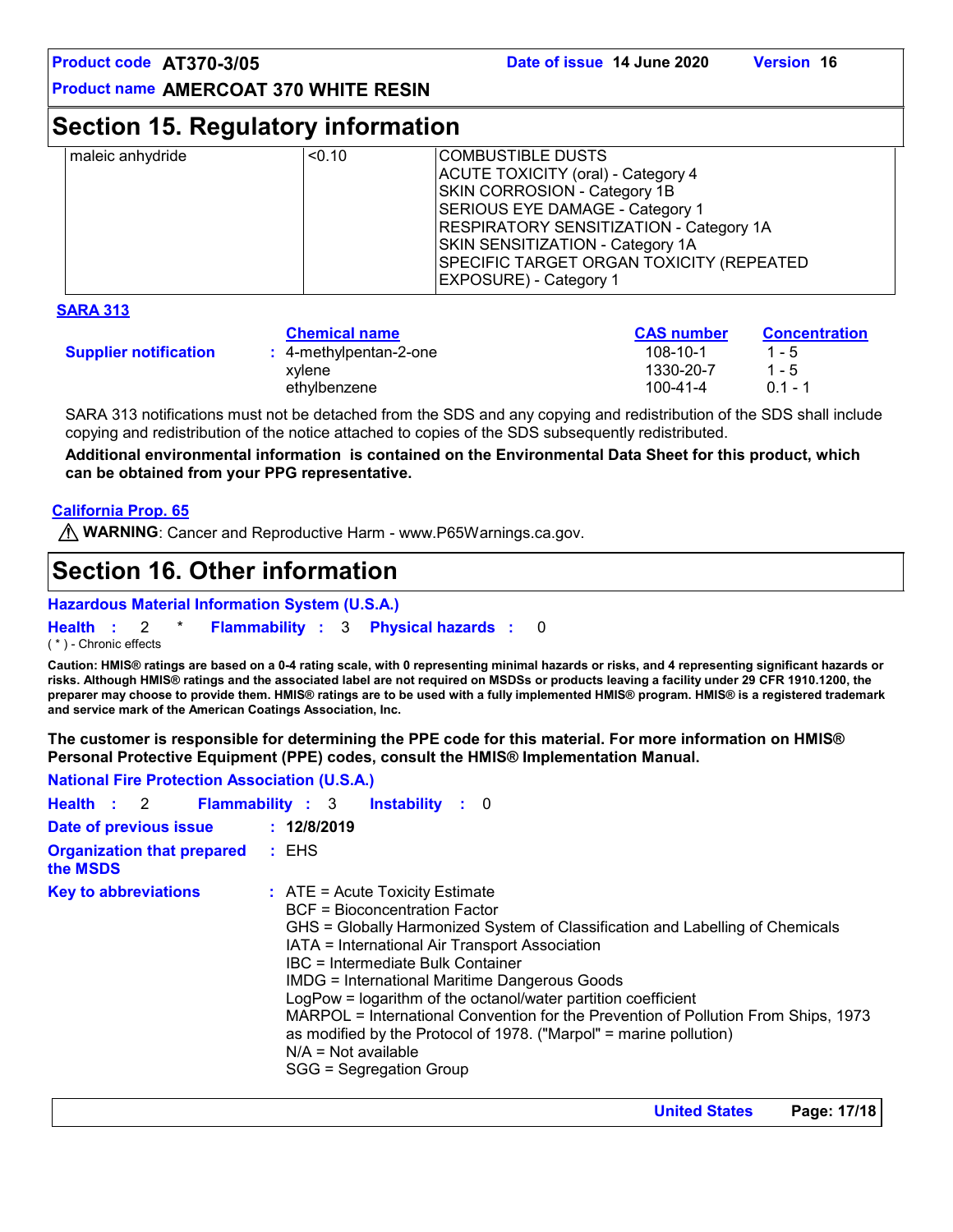### **Section 15. Regulatory information**

| maleic anhydride | < 0.10 | COMBUSTIBLE DUSTS<br>ACUTE TOXICITY (oral) - Category 4<br>SKIN CORROSION - Category 1B<br>SERIOUS EYE DAMAGE - Category 1<br><b>RESPIRATORY SENSITIZATION - Category 1A</b><br>SKIN SENSITIZATION - Category 1A<br>SPECIFIC TARGET ORGAN TOXICITY (REPEATED<br><b>EXPOSURE) - Category 1</b> |
|------------------|--------|-----------------------------------------------------------------------------------------------------------------------------------------------------------------------------------------------------------------------------------------------------------------------------------------------|
|                  |        |                                                                                                                                                                                                                                                                                               |

#### **SARA 313**

|                              | <b>Chemical name</b>      | <b>CAS number</b> | <b>Concentration</b> |
|------------------------------|---------------------------|-------------------|----------------------|
| <b>Supplier notification</b> | $: 4$ -methylpentan-2-one | $108 - 10 - 1$    | $1 - 5$              |
|                              | xvlene                    | 1330-20-7         | $1 - 5$              |
|                              | ethvlbenzene              | 100-41-4          | $01 - 1$             |

SARA 313 notifications must not be detached from the SDS and any copying and redistribution of the SDS shall include copying and redistribution of the notice attached to copies of the SDS subsequently redistributed.

**Additional environmental information is contained on the Environmental Data Sheet for this product, which can be obtained from your PPG representative.**

#### **California Prop. 65**

**WARNING**: Cancer and Reproductive Harm - www.P65Warnings.ca.gov.

### **Section 16. Other information**

#### **Hazardous Material Information System (U.S.A.)**

**Health** : 2 \* **Flammability** : 3 **Physical hazards** : 0 0

( \* ) - Chronic effects

**Caution: HMIS® ratings are based on a 0-4 rating scale, with 0 representing minimal hazards or risks, and 4 representing significant hazards or risks. Although HMIS® ratings and the associated label are not required on MSDSs or products leaving a facility under 29 CFR 1910.1200, the preparer may choose to provide them. HMIS® ratings are to be used with a fully implemented HMIS® program. HMIS® is a registered trademark and service mark of the American Coatings Association, Inc.**

**The customer is responsible for determining the PPE code for this material. For more information on HMIS® Personal Protective Equipment (PPE) codes, consult the HMIS® Implementation Manual.**

| <b>National Fire Protection Association (U.S.A.)</b> |                                                                                                                                                                                                                                                                                                                                                                                                                                                                                                                                                                                                     |  |
|------------------------------------------------------|-----------------------------------------------------------------------------------------------------------------------------------------------------------------------------------------------------------------------------------------------------------------------------------------------------------------------------------------------------------------------------------------------------------------------------------------------------------------------------------------------------------------------------------------------------------------------------------------------------|--|
| Health : 2                                           | <b>Flammability: 3</b><br><b>Instability</b> : 0                                                                                                                                                                                                                                                                                                                                                                                                                                                                                                                                                    |  |
| Date of previous issue                               | : 12/8/2019                                                                                                                                                                                                                                                                                                                                                                                                                                                                                                                                                                                         |  |
| <b>Organization that prepared</b><br>the MSDS        | $\pm$ EHS                                                                                                                                                                                                                                                                                                                                                                                                                                                                                                                                                                                           |  |
| <b>Key to abbreviations</b>                          | $\therefore$ ATE = Acute Toxicity Estimate<br><b>BCF</b> = Bioconcentration Factor<br>GHS = Globally Harmonized System of Classification and Labelling of Chemicals<br>IATA = International Air Transport Association<br>IBC = Intermediate Bulk Container<br><b>IMDG = International Maritime Dangerous Goods</b><br>LogPow = logarithm of the octanol/water partition coefficient<br>MARPOL = International Convention for the Prevention of Pollution From Ships, 1973<br>as modified by the Protocol of 1978. ("Marpol" = marine pollution)<br>$N/A = Not available$<br>SGG = Segregation Group |  |